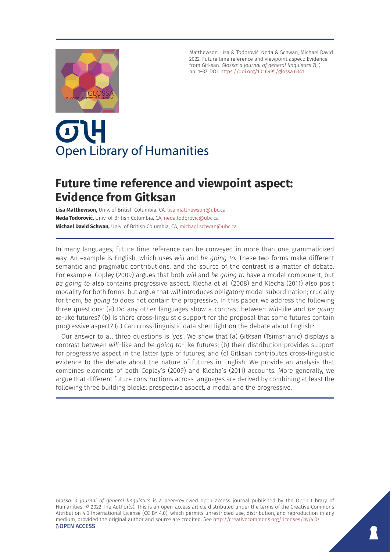

Matthewson, Lisa & Todorović, Neda & Schwan, Michael David. 2022. Future time reference and viewpoint aspect: Evidence from Gitksan. *Glossa: a journal of general linguistics* 7(1). pp. 1–37. DOI: <https://doi.org/10.16995/glossa.6341>

# OL **Open Library of Humanities**

# **Future time reference and viewpoint aspect: Evidence from Gitksan**

**Lisa Matthewson,** Univ. of British Columbia, CA, [lisa.matthewson@ubc.ca](mailto:lisa.matthewson@ubc.ca) **Neda Todorović,** Univ. of British Columbia, CA, [neda.todorovic@ubc.ca](mailto:neda.todorovic@ubc.ca) **Michael David Schwan,** Univ. of British Columbia, CA, [michael.schwan@ubc.ca](mailto:michael.schwan@ubc.ca)

In many languages, future time reference can be conveyed in more than one grammaticized way. An example is English, which uses *will* and *be going to.* These two forms make different semantic and pragmatic contributions, and the source of the contrast is a matter of debate. For example, Copley (2009) argues that both *will* and *be going to* have a modal component, but *be going to* also contains progressive aspect. Klecha et al. (2008) and Klecha (2011) also posit modality for both forms, but argue that *will* introduces obligatory modal subordination; crucially for them, *be going to* does not contain the progressive. In this paper, we address the following three questions: (a) Do any other languages show a contrast between *will-*like and *be going to*-like futures? (b) Is there cross-linguistic support for the proposal that some futures contain progressive aspect? (c) Can cross-linguistic data shed light on the debate about English?

Our answer to all three questions is 'yes'. We show that (a) Gitksan (Tsimshianic) displays a contrast between *will-*like and *be going to-*like futures; (b) their distribution provides support for progressive aspect in the latter type of futures; and (c) Gitksan contributes cross-linguistic evidence to the debate about the nature of futures in English. We provide an analysis that combines elements of both Copley's (2009) and Klecha's (2011) accounts. More generally, we argue that different future constructions across languages are derived by combining at least the following three building blocks: prospective aspect, a modal and the progressive.

*Glossa: a journal of general linguistics* is a peer-reviewed open access journal published by the Open Library of Humanities. © 2022 The Author(s). This is an open-access article distributed under the terms of the Creative Commons Attribution 4.0 International License (CC-BY 4.0), which permits unrestricted use, distribution, and reproduction in any medium, provided the original author and source are credited. See <http://creativecommons.org/licenses/by/4.0/>. **OPEN ACCESS**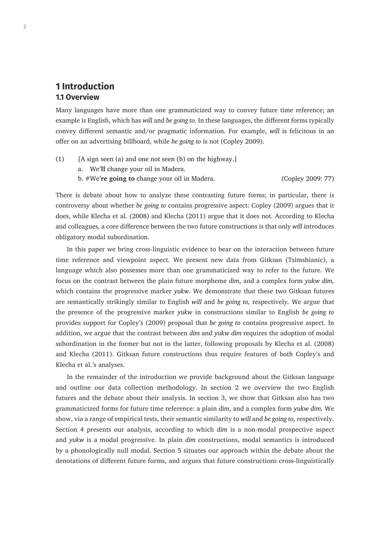# **1 Introduction 1.1 Overview**

Many languages have more than one grammaticized way to convey future time reference; an example is English, which has *will* and *be going to.* In these languages, the different forms typically convey different semantic and/or pragmatic information. For example, *will* is felicitous in an offer on an advertising billboard, while *be going to* is not (Copley 2009).

- (1) [A sign seen (a) and one not seen (b) on the highway.] a. We'**ll** change your oil in Madera.
	- b. #We'**re going to** change your oil in Madera. (Copley 2009: 77)

There is debate about how to analyze these contrasting future forms; in particular, there is controversy about whether *be going to* contains progressive aspect: Copley (2009) argues that it does, while Klecha et al. (2008) and Klecha (2011) argue that it does not. According to Klecha and colleagues, a core difference between the two future constructions is that only *will* introduces obligatory modal subordination.

In this paper we bring cross-linguistic evidence to bear on the interaction between future time reference and viewpoint aspect. We present new data from Gitksan (Tsimshianic), a language which also possesses more than one grammaticized way to refer to the future. We focus on the contrast between the plain future morpheme *dim*, and a complex form *yukw dim,*  which contains the progressive marker *yukw*. We demonstrate that these two Gitksan futures are semantically strikingly similar to English *will* and *be going to,* respectively*.* We argue that the presence of the progressive marker *yukw* in constructions similar to English *be going to*  provides support for Copley's (2009) proposal that *be going to* contains progressive aspect. In addition, we argue that the contrast between *dim* and *yukw dim* requires the adoption of modal subordination in the former but not in the latter, following proposals by Klecha et al. (2008) and Klecha (2011). Gitksan future constructions thus require features of both Copley's and Klecha et al.'s analyses.

In the remainder of the introduction we provide background about the Gitksan language and outline our data collection methodology. In section 2 we overview the two English futures and the debate about their analysis. In section 3, we show that Gitksan also has two grammaticized forms for future time reference: a plain *dim*, and a complex form *yukw dim.* We show, via a range of empirical tests, their semantic similarity to *will* and *be going to,* respectively. Section 4 presents our analysis, according to which *dim* is a non-modal prospective aspect and *yukw* is a modal progressive. In plain *dim* constructions, modal semantics is introduced by a phonologically null modal. Section 5 situates our approach within the debate about the denotations of different future forms, and argues that future constructions cross-linguistically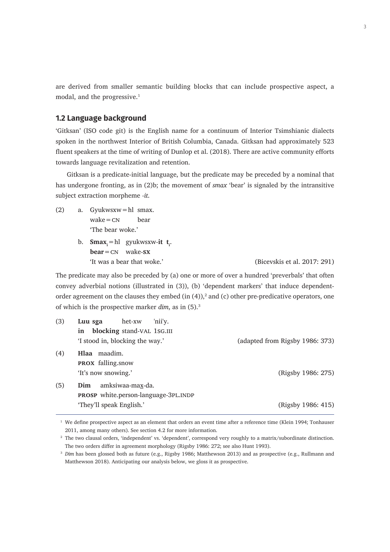are derived from smaller semantic building blocks that can include prospective aspect, a modal, and the progressive.<sup>1</sup>

### **1.2 Language background**

'Gitksan' (ISO code git) is the English name for a continuum of Interior Tsimshianic dialects spoken in the northwest Interior of British Columbia, Canada. Gitksan had approximately 523 fluent speakers at the time of writing of Dunlop et al. (2018). There are active community efforts towards language revitalization and retention.

Gitksan is a predicate-initial language, but the predicate may be preceded by a nominal that has undergone fronting, as in (2)b; the movement of *smax* 'bear' is signaled by the intransitive subject extraction morpheme *-it*.

- (2) a. Gyukwsxw=hl smax.  $wake = cN$  bear 'The bear woke.'
	- b. **Smax**<sub>i</sub>=hl gyukwsxw-**it t**<sub>i</sub>. **bear**=cn wake-**sx** 'It was a bear that woke.' (Bicevskis et al. 2017: 291)

The predicate may also be preceded by (a) one or more of over a hundred 'preverbals' that often convey adverbial notions (illustrated in (3)), (b) 'dependent markers' that induce dependentorder agreement on the clauses they embed  $(in (4))$ , and  $(c)$  other pre-predicative operators, one of which is the prospective marker *dim*, as in (5).3

| (3) | 'nii'y.<br>het-xw<br>Luu sga         |                                 |
|-----|--------------------------------------|---------------------------------|
|     | blocking stand-VAL 1SG.III<br>in     |                                 |
|     | 'I stood in, blocking the way.'      | (adapted from Rigsby 1986: 373) |
| (4) | Hlaa maadim.                         |                                 |
|     | <b>PROX</b> falling.snow             |                                 |
|     | 'It's now snowing.'                  | (Rigsby 1986: 275)              |
| (5) | amksiwaa-max-da.<br>Dim              |                                 |
|     | PROSP white.person-language-3PL.INDP |                                 |
|     | 'They'll speak English.'             | (Rigsby 1986: 415)              |

<sup>1</sup> We define prospective aspect as an element that orders an event time after a reference time (Klein 1994; Tonhauser 2011, among many others). See section 4.2 for more information.

<sup>&</sup>lt;sup>2</sup> The two clausal orders, 'independent' vs. 'dependent', correspond very roughly to a matrix/subordinate distinction. The two orders differ in agreement morphology (Rigsby 1986: 272; see also Hunt 1993).

<sup>&</sup>lt;sup>3</sup> *Dim* has been glossed both as future (e.g., Rigsby 1986; Matthewson 2013) and as prospective (e.g., Rullmann and Matthewson 2018). Anticipating our analysis below, we gloss it as prospective.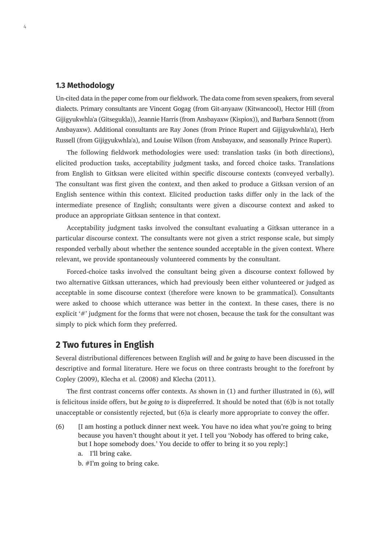#### **1.3 Methodology**

Un-cited data in the paper come from our fieldwork. The data come from seven speakers, from several dialects. Primary consultants are Vincent Gogag (from Git-anyaaw (Kitwancool), Hector Hill (from Gijigyukwhla'a (Gitsegukla)), Jeannie Harris (from Ansbayaxw (Kispiox)), and Barbara Sennott (from Ansbayaxw). Additional consultants are Ray Jones (from Prince Rupert and Gijigyukwhla'a), Herb Russell (from Gijigyukwhla'a), and Louise Wilson (from Ansbayaxw, and seasonally Prince Rupert).

The following fieldwork methodologies were used: translation tasks (in both directions), elicited production tasks, acceptability judgment tasks, and forced choice tasks. Translations from English to Gitksan were elicited within specific discourse contexts (conveyed verbally). The consultant was first given the context, and then asked to produce a Gitksan version of an English sentence within this context. Elicited production tasks differ only in the lack of the intermediate presence of English; consultants were given a discourse context and asked to produce an appropriate Gitksan sentence in that context.

Acceptability judgment tasks involved the consultant evaluating a Gitksan utterance in a particular discourse context. The consultants were not given a strict response scale, but simply responded verbally about whether the sentence sounded acceptable in the given context. Where relevant, we provide spontaneously volunteered comments by the consultant.

Forced-choice tasks involved the consultant being given a discourse context followed by two alternative Gitksan utterances, which had previously been either volunteered or judged as acceptable in some discourse context (therefore were known to be grammatical). Consultants were asked to choose which utterance was better in the context. In these cases, there is no explicit '#' judgment for the forms that were not chosen, because the task for the consultant was simply to pick which form they preferred.

# **2 Two futures in English**

Several distributional differences between English *will* and *be going to* have been discussed in the descriptive and formal literature. Here we focus on three contrasts brought to the forefront by Copley (2009), Klecha et al. (2008) and Klecha (2011).

The first contrast concerns offer contexts. As shown in (1) and further illustrated in (6), *will*  is felicitous inside offers, but *be going to* is dispreferred. It should be noted that (6)b is not totally unacceptable or consistently rejected, but (6)a is clearly more appropriate to convey the offer.

- (6) [I am hosting a potluck dinner next week. You have no idea what you're going to bring because you haven't thought about it yet. I tell you 'Nobody has offered to bring cake, but I hope somebody does.' You decide to offer to bring it so you reply:]
	- a. I'll bring cake.
	- b. #I'm going to bring cake.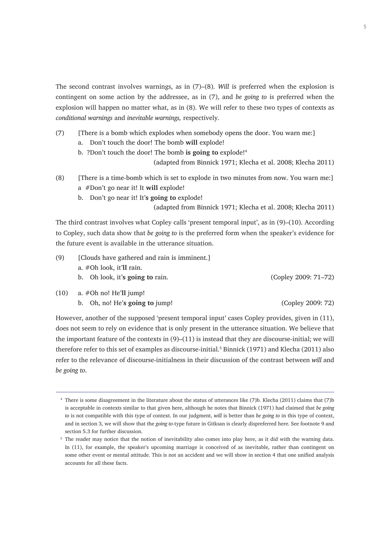The second contrast involves warnings, as in (7)–(8). *Will* is preferred when the explosion is contingent on some action by the addressee, as in (7), and *be going to* is preferred when the explosion will happen no matter what, as in (8). We will refer to these two types of contexts as *conditional warnings* and *inevitable warnings,* respectively*.*

- (7) [There is a bomb which explodes when somebody opens the door. You warn me:]
	- a. Don't touch the door! The bomb **will** explode!
	- b. ?Don't touch the door! The bomb **is going to** explode!<sup>4</sup>

(adapted from Binnick 1971; Klecha et al. 2008; Klecha 2011)

- (8) [There is a time-bomb which is set to explode in two minutes from now. You warn me:] a #Don't go near it! It **will** explode!
	- b. Don't go near it! It'**s going to** explode!

(adapted from Binnick 1971; Klecha et al. 2008; Klecha 2011)

The third contrast involves what Copley calls 'present temporal input', as in (9)–(10). According to Copley, such data show that *be going to* is the preferred form when the speaker's evidence for the future event is available in the utterance situation.

- (9) [Clouds have gathered and rain is imminent.]
	- a. #Oh look, it'**ll** rain.
	- b. Oh look, it'**s going to** rain. (Copley 2009: 71–72)

- (10) a. #Oh no! He'**ll** jump!
	- b. Oh, no! He'**s going to** jump! (Copley 2009: 72)

However, another of the supposed 'present temporal input' cases Copley provides, given in (11), does not seem to rely on evidence that is only present in the utterance situation. We believe that the important feature of the contexts in (9)–(11) is instead that they are discourse-initial; we will therefore refer to this set of examples as discourse-initial.<sup>5</sup> Binnick (1971) and Klecha (2011) also refer to the relevance of discourse-initialness in their discussion of the contrast between *will* and *be going to*.

<sup>4</sup> There is some disagreement in the literature about the status of utterances like (7)b. Klecha (2011) claims that (7)b is acceptable in contexts similar to that given here, although he notes that Binnick (1971) had claimed that *be going to* is not compatible with this type of context. In our judgment, *will* is better than *be going to* in this type of context, and in section 3, we will show that the *going to-*type future in Gitksan is clearly dispreferred here. See footnote 9 and section 5.3 for further discussion.

<sup>&</sup>lt;sup>5</sup> The reader may notice that the notion of inevitability also comes into play here, as it did with the warning data. In (11), for example, the speaker's upcoming marriage is conceived of as inevitable, rather than contingent on some other event or mental attitude. This is not an accident and we will show in section 4 that one unified analysis accounts for all these facts.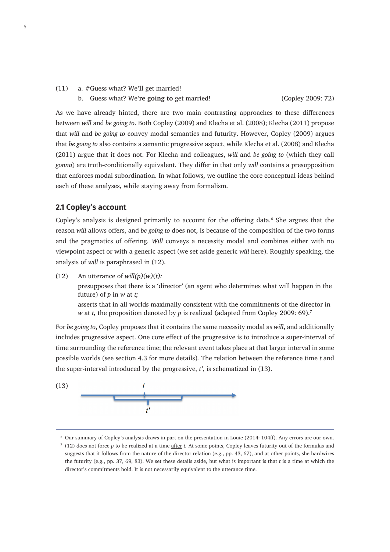(11) a. #Guess what? We'**ll** get married!

As we have already hinted, there are two main contrasting approaches to these differences between *will* and *be going to*. Both Copley (2009) and Klecha et al. (2008); Klecha (2011) propose that *will* and *be going to* convey modal semantics and futurity. However, Copley (2009) argues that *be going to* also contains a semantic progressive aspect, while Klecha et al. (2008) and Klecha (2011) argue that it does not. For Klecha and colleagues, *will* and *be going to* (which they call *gonna*) are truth-conditionally equivalent. They differ in that only *will* contains a presupposition that enforces modal subordination. In what follows, we outline the core conceptual ideas behind each of these analyses, while staying away from formalism.

# **2.1 Copley's account**

Copley's analysis is designed primarily to account for the offering data.<sup>6</sup> She argues that the reason *will* allows offers, and *be going to* does not, is because of the composition of the two forms and the pragmatics of offering. *Will* conveys a necessity modal and combines either with no viewpoint aspect or with a generic aspect (we set aside generic *will* here). Roughly speaking, the analysis of *will* is paraphrased in (12).

(12) An utterance of *will(p)*(*w)*(*t):* presupposes that there is a 'director' (an agent who determines what will happen in the future) of *p* in *w* at *t;*

asserts that in all worlds maximally consistent with the commitments of the director in *w* at *t*, the proposition denoted by *p* is realized (adapted from Copley 2009: 69).<sup>7</sup>

For *be going to*, Copley proposes that it contains the same necessity modal as *will*, and additionally includes progressive aspect. One core effect of the progressive is to introduce a super-interval of time surrounding the reference time; the relevant event takes place at that larger interval in some possible worlds (see section 4.3 for more details)*.* The relation between the reference time *t* and the super-interval introduced by the progressive, *t',* is schematized in (13).



<sup>6</sup> Our summary of Copley's analysis draws in part on the presentation in Louie (2014: 104ff). Any errors are our own.

<sup>7</sup> (12) does not force *p* to be realized at a time after *t.* At some points, Copley leaves futurity out of the formulas and suggests that it follows from the nature of the director relation (e.g., pp. 43, 67), and at other points, she hardwires the futurity (e.g., pp. 37, 69, 83). We set these details aside, but what is important is that *t* is a time at which the director's commitments hold. It is not necessarily equivalent to the utterance time.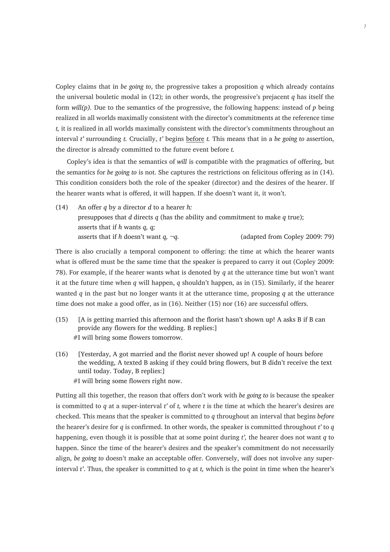Copley claims that in *be going to*, the progressive takes a proposition *q* which already contains the universal bouletic modal in (12); in other words, the progressive's prejacent *q* has itself the form *will(p).* Due to the semantics of the progressive, the following happens: instead of *p* being realized in all worlds maximally consistent with the director's commitments at the reference time *t,* it is realized in all worlds maximally consistent with the director's commitments throughout an interval *t'* surrounding *t.* Crucially, *t'* begins before *t.* This means that in a *be going to* assertion, the director is already committed to the future event before *t.*

Copley's idea is that the semantics of *will* is compatible with the pragmatics of offering, but the semantics for *be going to* is not. She captures the restrictions on felicitous offering as in (14). This condition considers both the role of the speaker (director) and the desires of the hearer. If the hearer wants what is offered, it will happen. If she doesn't want it, it won't.

(14) An offer *q* by a director *d* to a hearer *h:*  presupposes that *d* directs *q* (has the ability and commitment to make *q* true); asserts that if *h* wants *q, q;* asserts that if *h* doesn't want *q,* ¬*q*. (adapted from Copley 2009: 79)

There is also crucially a temporal component to offering: the time at which the hearer wants what is offered must be the same time that the speaker is prepared to carry it out (Copley 2009: 78). For example, if the hearer wants what is denoted by *q* at the utterance time but won't want it at the future time when *q* will happen, *q* shouldn't happen, as in (15). Similarly, if the hearer wanted *q* in the past but no longer wants it at the utterance time, proposing *q* at the utterance time does not make a good offer, as in (16). Neither (15) nor (16) are successful offers.

- (15) [A is getting married this afternoon and the florist hasn't shown up! A asks B if B can provide any flowers for the wedding. B replies:] #I will bring some flowers tomorrow.
- (16) [Yesterday, A got married and the florist never showed up! A couple of hours before the wedding, A texted B asking if they could bring flowers, but B didn't receive the text until today. Today, B replies:] #I will bring some flowers right now.

Putting all this together, the reason that offers don't work with *be going to* is because the speaker is committed to *q* at a super-interval *t'* of *t,* where *t* is the time at which the hearer's desires are checked. This means that the speaker is committed to *q* throughout an interval that begins *before* the hearer's desire for *q* is confirmed. In other words, the speaker is committed throughout *t'* to *q*  happening, even though it is possible that at some point during *t',* the hearer does not want *q* to happen. Since the time of the hearer's desires and the speaker's commitment do not necessarily align, *be going to* doesn't make an acceptable offer. Conversely, w*ill* does not involve any superinterval *t'*. Thus, the speaker is committed to *q* at *t,* which is the point in time when the hearer's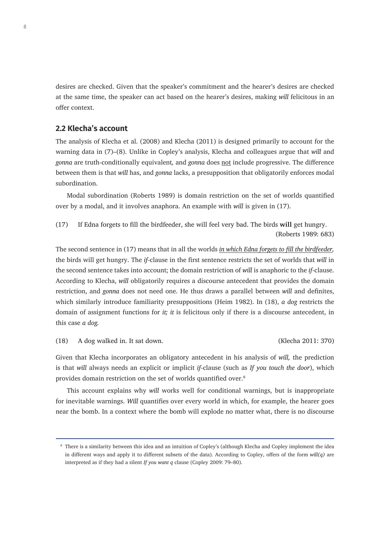desires are checked. Given that the speaker's commitment and the hearer's desires are checked at the same time, the speaker can act based on the hearer's desires, making *will* felicitous in an offer context.

#### **2.2 Klecha's account**

The analysis of Klecha et al. (2008) and Klecha (2011) is designed primarily to account for the warning data in (7)–(8). Unlike in Copley's analysis, Klecha and colleagues argue that *will* and *gonna* are truth-conditionally equivalent*,* and *gonna* does not include progressive. The difference between them is that *will* has, and *gonna* lacks, a presupposition that obligatorily enforces modal subordination.

Modal subordination (Roberts 1989) is domain restriction on the set of worlds quantified over by a modal, and it involves anaphora. An example with *will* is given in (17).

(17) If Edna forgets to fill the birdfeeder, she will feel very bad. The birds **will** get hungry. (Roberts 1989: 683)

The second sentence in (17) means that in all the worlds *in which Edna forgets to fill the birdfeeder,*  the birds will get hungry. The *if-*clause in the first sentence restricts the set of worlds that *will* in the second sentence takes into account; the domain restriction of *will* is anaphoric to the *if*-clause. According to Klecha, *will* obligatorily requires a discourse antecedent that provides the domain restriction, and *gonna* does not need one. He thus draws a parallel between *will* and definites, which similarly introduce familiarity presuppositions (Heim 1982). In (18), *a dog* restricts the domain of assignment functions for *it; it* is felicitous only if there is a discourse antecedent, in this case *a dog.* 

(18) A dog walked in. It sat down. (Klecha 2011: 370)

Given that Klecha incorporates an obligatory antecedent in his analysis of *will,* the prediction is that *will* always needs an explicit or implicit *if-*clause (such as *If you touch the door*), which provides domain restriction on the set of worlds quantified over.<sup>8</sup>

This account explains why *will* works well for conditional warnings, but is inappropriate for inevitable warnings. *Will* quantifies over every world in which, for example, the hearer goes near the bomb. In a context where the bomb will explode no matter what, there is no discourse

<sup>8</sup> There is a similarity between this idea and an intuition of Copley's (although Klecha and Copley implement the idea in different ways and apply it to different subsets of the data). According to Copley, offers of the form *will(q)* are interpreted as if they had a silent *If you want q* clause (Copley 2009: 79–80).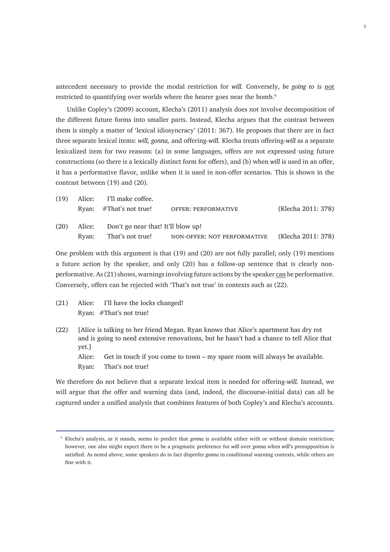antecedent necessary to provide the modal restriction for *will.* Conversely, *be going to* is not restricted to quantifying over worlds where the hearer goes near the bomb.<sup>9</sup>

Unlike Copley's (2009) account, Klecha's (2011) analysis does not involve decomposition of the different future forms into smaller parts. Instead, Klecha argues that the contrast between them is simply a matter of 'lexical idiosyncracy' (2011: 367). He proposes that there are in fact three separate lexical items: *will, gonna,* and offering-*will.* Klecha treats offering-*will* as a separate lexicalized item for two reasons: (a) in some languages, offers are not expressed using future constructions (so there is a lexically distinct form for offers), and (b) when *will* is used in an offer, it has a performative flavor, unlike when it is used in non-offer scenarios. This is shown in the contrast between (19) and (20).

| (19) |        | Alice: I'll make coffee.           |                             |                    |  |  |
|------|--------|------------------------------------|-----------------------------|--------------------|--|--|
|      |        | Ryan: $#That's not true!$          | <b>OFFER: PERFORMATIVE</b>  | (Klecha 2011: 378) |  |  |
| (20) | Alice: | Don't go near that! It'll blow up! |                             |                    |  |  |
|      |        | Ryan: That's not true!             | NON-OFFER: NOT PERFORMATIVE | (Klecha 2011: 378) |  |  |

One problem with this argument is that (19) and (20) are not fully parallel; only (19) mentions a future action by the speaker, and only (20) has a follow-up sentence that is clearly nonperformative. As (21) shows, warnings involving future actions by the speaker can be performative. Conversely, offers can be rejected with 'That's not true' in contexts such as (22).

- (21) Alice: I'll have the locks changed! Ryan: #That's not true!
- (22) [Alice is talking to her friend Megan. Ryan knows that Alice's apartment has dry rot and is going to need extensive renovations, but he hasn't had a chance to tell Alice that yet.]

Alice: Get in touch if you come to town – my spare room will always be available.

Ryan: That's not true!

We therefore do not believe that a separate lexical item is needed for offering-*will.* Instead, we will argue that the offer and warning data (and, indeed, the discourse-initial data) can all be captured under a unified analysis that combines features of both Copley's and Klecha's accounts.

<sup>9</sup> Klecha's analysis, as it stands, seems to predict that *gonna* is available either with or without domain restriction; however, one also might expect there to be a pragmatic preference for *will* over *gonna* when *will*'s presupposition is satisfied. As noted above, some speakers do in fact disprefer *gonna* in conditional warning contexts, while others are fine with it.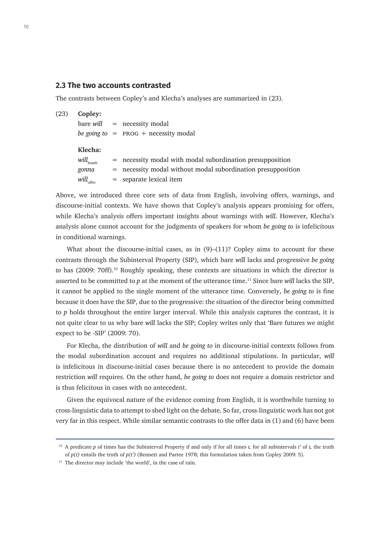#### **2.3 The two accounts contrasted**

The contrasts between Copley's and Klecha's analyses are summarized in (23).

| (23) | Copley:              |                                                                |
|------|----------------------|----------------------------------------------------------------|
|      |                      | $bare$ will $=$ necessity modal                                |
|      |                      | be going to $=$ PROG + necessity modal                         |
|      | Klecha:              |                                                                |
|      | $will_{\text{bomb}}$ | $=$ necessity modal with modal subordination presupposition    |
|      | gonna                | $=$ necessity modal without modal subordination presupposition |
|      | $will_{\rm offer}$   | $=$ separate lexical item                                      |
|      |                      |                                                                |

Above, we introduced three core sets of data from English, involving offers, warnings, and discourse-initial contexts. We have shown that Copley's analysis appears promising for offers, while Klecha's analysis offers important insights about warnings with *will*. However, Klecha's analysis alone cannot account for the judgments of speakers for whom *be going to* is infelicitous in conditional warnings.

What about the discourse-initial cases, as in  $(9)$ – $(11)$ ? Copley aims to account for these contrasts through the Subinterval Property (SIP), which bare *will* lacks and progressive *be going to* has (2009: 70ff).<sup>10</sup> Roughly speaking, these contexts are situations in which the director is asserted to be committed to *p* at the moment of the utterance time.<sup>11</sup> Since bare *will* lacks the SIP, it cannot be applied to the single moment of the utterance time. Conversely, *be going to* is fine because it does have the SIP, due to the progressive: the situation of the director being committed to *p* holds throughout the entire larger interval. While this analysis captures the contrast, it is not quite clear to us why bare *will* lacks the SIP; Copley writes only that 'Bare futures we might expect to be -SIP' (2009: 70).

For Klecha, the distribution of *will* and *be going to* in discourse-initial contexts follows from the modal subordination account and requires no additional stipulations. In particular, *will*  is infelicitous in discourse-initial cases because there is no antecedent to provide the domain restriction *will* requires. On the other hand, *be going to* does not require a domain restrictor and is thus felicitous in cases with no antecedent.

Given the equivocal nature of the evidence coming from English, it is worthwhile turning to cross-linguistic data to attempt to shed light on the debate. So far, cross-linguistic work has not got very far in this respect. While similar semantic contrasts to the offer data in (1) and (6) have been

<sup>10</sup> A predicate *p* of times has the Subinterval Property if and only if for all times *t,* for all subintervals *t'* of *t,* the truth of *p(t)* entails the truth of *p(t')* (Bennett and Partee 1978; this formulation taken from Copley 2009: 5).

<sup>&</sup>lt;sup>11</sup> The director may include 'the world', in the case of rain.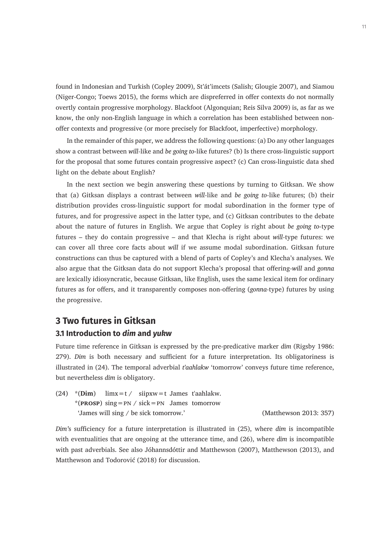found in Indonesian and Turkish (Copley 2009), St'át'imcets (Salish; Glougie 2007), and Siamou (Niger-Congo; Toews 2015), the forms which are dispreferred in offer contexts do not normally overtly contain progressive morphology. Blackfoot (Algonquian; Reis Silva 2009) is, as far as we know, the only non-English language in which a correlation has been established between nonoffer contexts and progressive (or more precisely for Blackfoot, imperfective) morphology.

In the remainder of this paper, we address the following questions: (a) Do any other languages show a contrast between *will-*like and *be going to*-like futures? (b) Is there cross-linguistic support for the proposal that some futures contain progressive aspect? (c) Can cross-linguistic data shed light on the debate about English?

In the next section we begin answering these questions by turning to Gitksan. We show that (a) Gitksan displays a contrast between *will-*like and *be going to-*like futures; (b) their distribution provides cross-linguistic support for modal subordination in the former type of futures, and for progressive aspect in the latter type, and (c) Gitksan contributes to the debate about the nature of futures in English. We argue that Copley is right about *be going to*-type futures – they do contain progressive – and that Klecha is right about *will-*type futures: we can cover all three core facts about *will* if we assume modal subordination. Gitksan future constructions can thus be captured with a blend of parts of Copley's and Klecha's analyses. We also argue that the Gitksan data do not support Klecha's proposal that offering-*will* and *gonna*  are lexically idiosyncratic, because Gitksan, like English, uses the same lexical item for ordinary futures as for offers, and it transparently composes non-offering (*gonna-*type) futures by using the progressive.

# **3 Two futures in Gitksan**

#### **3.1 Introduction to** *dim* **and** *yukw*

Future time reference in Gitksan is expressed by the pre-predicative marker *dim* (Rigsby 1986: 279). *Dim* is both necessary and sufficient for a future interpretation. Its obligatoriness is illustrated in (24). The temporal adverbial *t'aahlakw* 'tomorrow' conveys future time reference, but nevertheless *dim* is obligatory.

(24) \*(**Dim**) limx=t / siipxw=t James t'aahlakw. \*(**prosp**) sing=pn / sick=pn James tomorrow ʻJames will sing / be sick tomorrow.' (Matthewson 2013: 357)

*Dim'*s sufficiency for a future interpretation is illustrated in (25), where *dim* is incompatible with eventualities that are ongoing at the utterance time, and (26), where *dim* is incompatible with past adverbials. See also Jóhannsdóttir and Matthewson (2007), Matthewson (2013), and Matthewson and Todorović (2018) for discussion.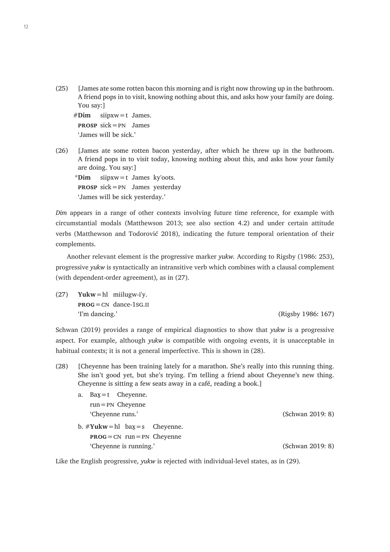(25) [James ate some rotten bacon this morning and is right now throwing up in the bathroom. A friend pops in to visit, knowing nothing about this, and asks how your family are doing. You say:]

```
#Dim siipxw=t James.
prosp sick=pn James
'James will be sick.'
```
(26) [James ate some rotten bacon yesterday, after which he threw up in the bathroom. A friend pops in to visit today, knowing nothing about this, and asks how your family are doing. You say:]

\***Dim** siipxw=t James ky'oots. **prosp** sick=pn James yesterday 'James will be sick yesterday.'

*Dim* appears in a range of other contexts involving future time reference, for example with circumstantial modals (Matthewson 2013; see also section 4.2) and under certain attitude verbs (Matthewson and Todorović 2018), indicating the future temporal orientation of their complements.

Another relevant element is the progressive marker *yukw.* According to Rigsby (1986: 253), progressive *yukw* is syntactically an intransitive verb which combines with a clausal complement (with dependent-order agreement), as in (27).

(27) **Yukw**=hl miilugw-i'y. **prog**=cn dance-1sg.ii 'I'm dancing.' (Rigsby 1986: 167)

Schwan (2019) provides a range of empirical diagnostics to show that *yukw* is a progressive aspect. For example, although *yukw* is compatible with ongoing events, it is unacceptable in habitual contexts; it is not a general imperfective. This is shown in (28).

(28) [Cheyenne has been training lately for a marathon. She's really into this running thing. She isn't good yet, but she's trying. I'm telling a friend about Cheyenne's new thing. Cheyenne is sitting a few seats away in a café, reading a book.]

| a. $\text{Bax} = t$ Cheyenne.       |                  |
|-------------------------------------|------------------|
| $run = PN$ Cheyenne                 |                  |
| 'Cheyenne runs.'                    | (Schwan 2019: 8) |
| b. $\#$ Yukw = hl bax = s Cheyenne. |                  |
| $PROG = CN$ run = PN Cheyenne       |                  |
| 'Cheyenne is running.'              | (Schwan 2019: 8) |
|                                     |                  |

Like the English progressive, *yukw* is rejected with individual-level states, as in (29).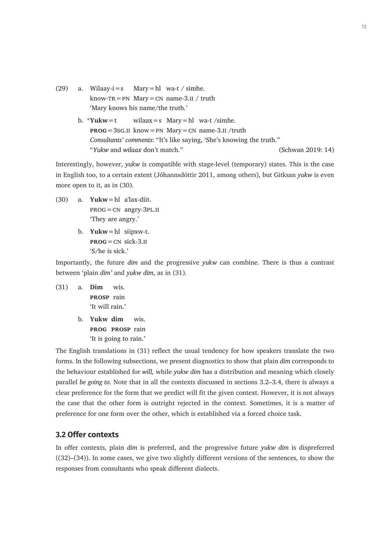- (29) a. Wilaay-i=s Mary=hl wa-t / simhe. know- $TR = PN$  Mary  $= CN$  name-3.ii / truth 'Mary knows his name/the truth.'
	- b.  $*Yukw=t$  wilaax = s Mary = hl wa-t /simhe. **prog**=3sg.ii know=pn Mary=cn name-3.ii /truth *Consultants' comments*: "It's like saying, 'She's knowing the truth." "*Yukw* and *wilaax* don't match." (Schwan 2019: 14)

Interestingly, however, *yukw* is compatible with stage-level (temporary) states. This is the case in English too, to a certain extent (Jóhannsdóttir 2011, among others), but Gitksan *yukw* is even more open to it, as in (30).

- (30) a. **Yukw**=hl a'lax-diit. prog=cn angry-3pl.ii 'They are angry.'
	- b. **Yukw**=hl siipxw-t.  **sick-3.<sub>II</sub>** 'S/he is sick.'

Importantly, the future *dim* and the progressive *yukw* can combine. There is thus a contrast between 'plain *dim'* and *yukw dim*, as in (31).

- (31) a. **Dim** wis. **prosp** rain 'It will rain.'
	- b. **Yukw dim** wis. **prog prosp** rain 'It is going to rain.'

The English translations in (31) reflect the usual tendency for how speakers translate the two forms. In the following subsections, we present diagnostics to show that plain *dim* corresponds to the behaviour established for *will,* while *yukw dim* has a distribution and meaning which closely parallel *be going to.* Note that in all the contexts discussed in sections 3.2–3.4, there is always a clear preference for the form that we predict will fit the given context. However, it is not always the case that the other form is outright rejected in the context. Sometimes, it is a matter of preference for one form over the other, which is established via a forced choice task.

#### **3.2 Offer contexts**

In offer contexts, plain *dim* is preferred, and the progressive future *yukw dim* is dispreferred ((32)–(34)). In some cases, we give two slightly different versions of the sentences, to show the responses from consultants who speak different dialects.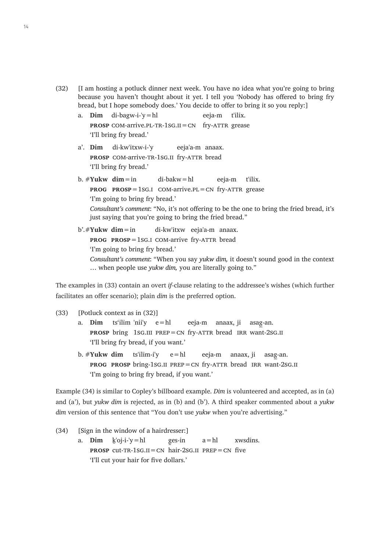- (32) [I am hosting a potluck dinner next week. You have no idea what you're going to bring because you haven't thought about it yet. I tell you 'Nobody has offered to bring fry bread, but I hope somebody does.' You decide to offer to bring it so you reply:]
	- a. **Dim** di-bagw-i-'y=hl eeja-m t'ilix. **PROSP** COM-arrive.PL-TR-1SG.II = CN fry-ATTR grease 'I'll bring fry bread.'
	- a'. **Dim** di-kw'itxw-i-'y eeja'a-m anaax. **PROSP** COM-arrive-TR-1SG.II fry-ATTR bread 'I'll bring fry bread.'
	- b. # **Yukw dim**=in di-bakw=hl eeja-m t'ilix. **PROG PROSP**=1sG.I COM-arrive.PL=CN fry-ATTR grease 'I'm going to bring fry bread.' *Consultant's comment*: "No, it's not offering to be the one to bring the fried bread, it's just saying that you're going to bring the fried bread."
	- b'.#**Yukw dim**=in di-kw'itxw eeja'a-m anaax. **PROG PROSP**=1sG.I COM-arrive fry-ATTR bread 'I'm going to bring fry bread.' *Consultant's comment*: "When you say *yukw dim,* it doesn't sound good in the context … when people use *yukw dim,* you are literally going to."

The examples in (33) contain an overt *if-*clause relating to the addressee's wishes (which further facilitates an offer scenario); plain *dim* is the preferred option.

#### (33) [Potluck context as in (32)]

- a. **Dim** ts'ilim 'nii'y e=hl eeja-m anaax, ji asag-an. **PROSP** bring 1sG.III PREP=CN fry-ATTR bread IRR want-2sG.II 'I'll bring fry bread, if you want.'
- b. #**Yukw dim** ts'ilim-i'y e=hl eeja-m anaax, ji asag-an. **prog prosp** bring-1sg.ii prep=cn fry-attr bread irr want-2sg.ii 'I'm going to bring fry bread, if you want.'

Example (34) is similar to Copley's billboard example. *Dim* is volunteered and accepted, as in (a) and (a'), but *yukw dim* is rejected, as in (b) and (b'). A third speaker commented about a *yukw dim* version of this sentence that "You don't use *yukw* when you're advertising."

(34) [Sign in the window of a hairdresser:] a. **Dim** <u>k'oj-i-'y</u> = hl ges-in  $a = h1$  xwsdins. **PROSP** cut-TR-1SG.II = CN hair-2sg.II PREP = CN five 'I'll cut your hair for five dollars.'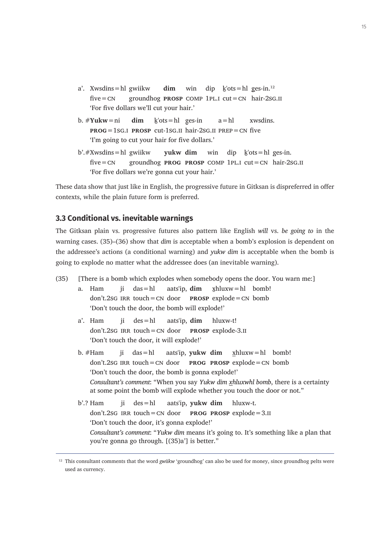- a'. Xwsdins = hl gwiikw **dim** win dip  $k'$ ots = hl ges-in.<sup>12</sup> five=cn groundhog **prosp** comp 1pl.i cut=cn hair-2sg.ii 'For five dollars we'll cut your hair.'
- b.  $\#$ Yukw = ni **dim** k ots = hl ges-in  $a = h1$  xwsdins. **prog**=1sg.i **prosp** cut-1sg.ii hair-2sg.ii prep=cn five 'I'm going to cut your hair for five dollars.'
- b'.#Xwsdins=hl gwiikw **yukw dim** win dip ḵ'ots=hl ges-in. five=cn groundhog **prog prosp** comp 1pl.i cut=cn hair-2sg.ii 'For five dollars we're gonna cut your hair.'

These data show that just like in English, the progressive future in Gitksan is dispreferred in offer contexts, while the plain future form is preferred.

#### **3.3 Conditional vs. inevitable warnings**

The Gitksan plain vs. progressive futures also pattern like English *will* vs. *be going to* in the warning cases. (35)–(36) show that *dim* is acceptable when a bomb's explosion is dependent on the addressee's actions (a conditional warning) and *yukw dim* is acceptable when the bomb is going to explode no matter what the addressee does (an inevitable warning).

- (35) [There is a bomb which explodes when somebody opens the door. You warn me:]
	- a. Ham ji das=hl aats'ip, **dim** x̱hluxw=hl bomb!  $don't.2SG IRR touch=CN door$  **PROSP**  $explode=CN bomb$ 'Don't touch the door, the bomb will explode!'
	- a'. Ham ji des=hl aats'ip, **dim** hluxw-t! don't.2sg irr touch=cn door **prosp** explode-3.ii 'Don't touch the door, it will explode!'
	- b. #Ham ji das=hl aats'ip, **yukw dim** xhluxw=hl bomb! don't.2sg irr touch=cn door **prog prosp** explode=cn bomb 'Don't touch the door, the bomb is gonna explode!' *Consultant's comment*: "When you say *Yukw dim xhluxwhl bomb*, there is a certainty at some point the bomb will explode whether you touch the door or not."
	- b'.? Ham ji des=hl aats'ip, **yukw dim** hluxw-t. don't.2sg irr touch=cn door **prog prosp** explode=3.ii 'Don't touch the door, it's gonna explode!' *Consultant's comment*: "*Yukw dim* means it's going to. It's something like a plan that you're gonna go through. [(35)a'] is better."

<sup>&</sup>lt;sup>12</sup> This consultant comments that the word *gwiikw* 'groundhog' can also be used for money, since groundhog pelts were used as currency.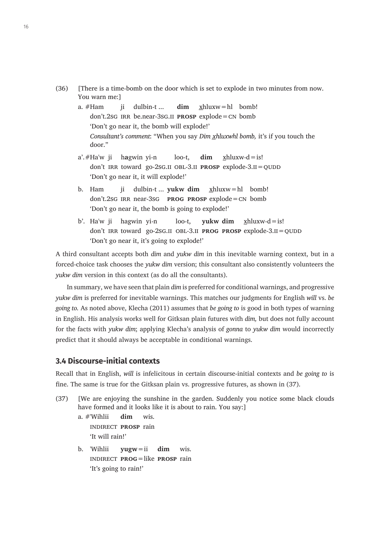- (36) [There is a time-bomb on the door which is set to explode in two minutes from now. You warn me:]
	- a. #Ham ii dulbin-t ... **dim** xhluxw=hl bomb! don't.2sg irr be.near-3sg.ii **prosp** explode=cn bomb 'Don't go near it, the bomb will explode!' *Consultant's comment*: "When you say *Dim x̲hluxwhl bomb,* it's if you touch the door."
	- $a'.#Ha'w$  ii hagwin yi-n loo-t, **dim** xhluxw-d=is! don't IRR toward go-2sG.II OBL-3.II **PROSP** explode-3.II=QUDD 'Don't go near it, it will explode!'
	- b. Ham ji dulbin-t ... **yukw dim** x̲hluxw=hl bomb! don't.2sg irr near-3sg **prog prosp** explode=cn bomb 'Don't go near it, the bomb is going to explode!'
	- b'. Ha'w ji hagwin yi-n loo-t, **yukw dim** xhluxw-d=is! don't IRR toward go-2sG.II OBL-3.II **PROG PROSP** explode-3.II = QUDD 'Don't go near it, it's going to explode!'

A third consultant accepts both *dim* and *yukw dim* in this inevitable warning context, but in a forced-choice task chooses the *yukw dim* version; this consultant also consistently volunteers the *yukw dim* version in this context (as do all the consultants).

In summary, we have seen that plain *dim* is preferred for conditional warnings, and progressive *yukw dim* is preferred for inevitable warnings. This matches our judgments for English *will* vs. *be going to.* As noted above, Klecha (2011) assumes that *be going to* is good in both types of warning in English. His analysis works well for Gitksan plain futures with *dim,* but does not fully account for the facts with *yukw dim*; applying Klecha's analysis of *gonna* to *yukw dim* would incorrectly predict that it should always be acceptable in conditional warnings.

## **3.4 Discourse-initial contexts**

Recall that in English, *will* is infelicitous in certain discourse-initial contexts and *be going to* is fine. The same is true for the Gitksan plain vs. progressive futures, as shown in (37).

- (37) [We are enjoying the sunshine in the garden. Suddenly you notice some black clouds have formed and it looks like it is about to rain. You say:]
	- a. #'Wihlii **dim** wis. indirect **prosp** rain 'It will rain!'
	- b. 'Wihlii **yugw**=ii **dim** wis. indirect **prog**=like **prosp** rain 'It's going to rain!'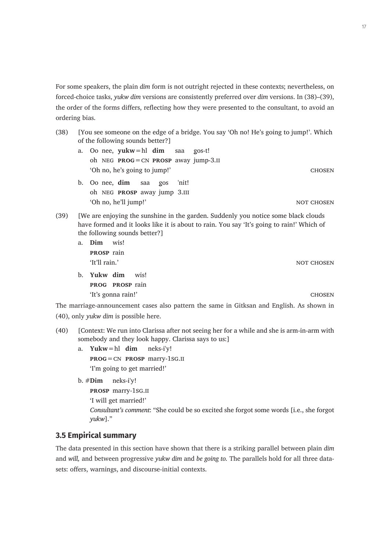For some speakers, the plain *dim* form is not outright rejected in these contexts; nevertheless, on forced-choice tasks, *yukw dim* versions are consistently preferred over *dim* versions. In (38)–(39), the order of the forms differs, reflecting how they were presented to the consultant, to avoid an ordering bias.

- (38) [You see someone on the edge of a bridge. You say 'Oh no! He's going to jump!'. Which of the following sounds better?]
	- a. Oo nee, **yukw**=hl **dim** saa gos-t! oh neg **prog**=cn **prosp** away jump-3.ii 'Oh no, he's going to jump!' chosen
	- b. Oo nee, **dim** saa gos 'nit! oh neg **prosp** away jump 3.iii 'Oh no, he'll jump!' NOT CHOSEN
- (39) [We are enjoying the sunshine in the garden. Suddenly you notice some black clouds have formed and it looks like it is about to rain. You say 'It's going to rain!' Which of the following sounds better?]
	- a. **Dim** wis! **prosp** rain 'It'll rain.' not chosen
	- b. **Yukw dim** wis! **prog prosp** rain 'It's gonna rain!' chosen

The marriage-announcement cases also pattern the same in Gitksan and English. As shown in (40), only *yukw dim* is possible here.

- (40) [Context: We run into Clarissa after not seeing her for a while and she is arm-in-arm with somebody and they look happy. Clarissa says to us:]
	- a. **Yukw**=hl **dim** neks-i'y! **prog**=cn **prosp** marry-1sg.ii 'I'm going to get married!'
	- b. #**Dim** neks-i'y!

**prosp** marry-1sg.ii

'I will get married!'

*Consultant's comment*: "She could be so excited she forgot some words [i.e., she forgot *yukw*]."

# **3.5 Empirical summary**

The data presented in this section have shown that there is a striking parallel between plain *dim*  and *will,* and between progressive *yukw dim* and *be going to.* The parallels hold for all three datasets: offers, warnings, and discourse-initial contexts.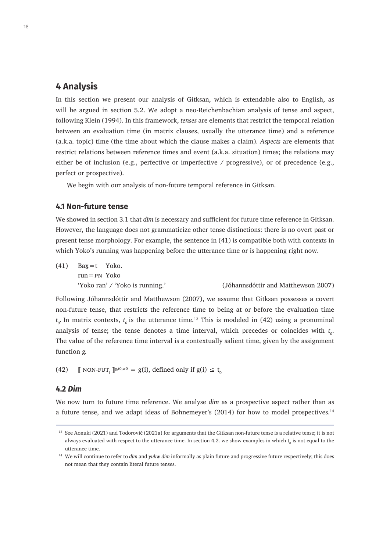# **4 Analysis**

In this section we present our analysis of Gitksan, which is extendable also to English, as will be argued in section 5.2. We adopt a neo-Reichenbachian analysis of tense and aspect, following Klein (1994). In this framework, *tenses* are elements that restrict the temporal relation between an evaluation time (in matrix clauses, usually the utterance time) and a reference (a.k.a. topic) time (the time about which the clause makes a claim). *Aspects* are elements that restrict relations between reference times and event (a.k.a. situation) times; the relations may either be of inclusion (e.g., perfective or imperfective / progressive), or of precedence (e.g., perfect or prospective).

We begin with our analysis of non-future temporal reference in Gitksan.

#### **4.1 Non-future tense**

We showed in section 3.1 that *dim* is necessary and sufficient for future time reference in Gitksan. However, the language does not grammaticize other tense distinctions: there is no overt past or present tense morphology. For example, the sentence in (41) is compatible both with contexts in which Yoko's running was happening before the utterance time or is happening right now.

 $(41)$  Bax $=$ t Yoko. run=pn Yoko 'Yoko ran' / 'Yoko is running.' (Jóhannsdóttir and Matthewson 2007)

Following Jóhannsdóttir and Matthewson (2007), we assume that Gitksan possesses a covert non-future tense, that restricts the reference time to being at or before the evaluation time  $t<sub>o</sub>$  In matrix contexts,  $t<sub>o</sub>$  is the utterance time.<sup>13</sup> This is modeled in (42) using a pronominal analysis of tense; the tense denotes a time interval, which precedes or coincides with  $t_o$ . The value of the reference time interval is a contextually salient time, given by the assignment function *g.*

(42)  $\blacksquare$  NON-FUT<sub>i</sub>  $\mathbb{I}^{g,t0,w0} = g(i)$ , defined only if  $g(i) \le t_0$ 

#### **4.2** *Dim*

We now turn to future time reference. We analyse *dim* as a prospective aspect rather than as a future tense, and we adapt ideas of Bohnemeyer's (2014) for how to model prospectives.<sup>14</sup>

<sup>&</sup>lt;sup>13</sup> See Aonuki (2021) and Todorović (2021a) for arguments that the Gitksan non-future tense is a relative tense; it is not always evaluated with respect to the utterance time. In section 4.2. we show examples in which  ${\rm t}_{{\rm o}}$  is not equal to the utterance time.

<sup>14</sup> We will continue to refer to *dim* and *yukw dim* informally as plain future and progressive future respectively; this does not mean that they contain literal future tenses.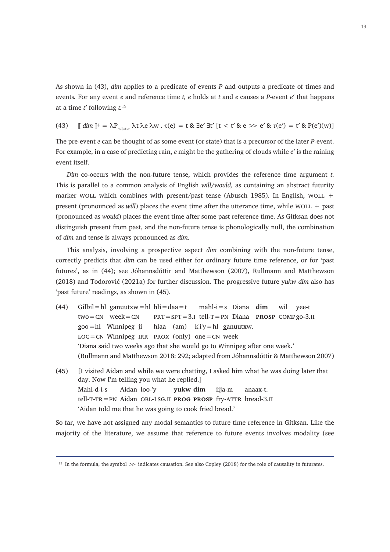As shown in (43), *dim* applies to a predicate of events *P* and outputs a predicate of times and events*.* For any event *e* and reference time *t, e* holds at *t* and *e* causes a *P*-event *e*ʹ that happens at a time *t*ʹ following *t.*<sup>15</sup>

(43)  $\left[\right] \dim \left]\right]^{g} = \lambda P_{\text{cl,st}}$ ,  $\lambda t \lambda e \lambda w$  .  $\tau(e) = t \& \exists e' \exists t' \left[t < t' \& e \gg e' \& \tau(e') = t' \& P(e')(w)\right]$ 

The pre-event *e* can be thought of as some event (or state) that is a precursor of the later *P*-event. For example, in a case of predicting rain, *e* might be the gathering of clouds while *e*ʹ is the raining event itself.

*Dim* co-occurs with the non-future tense, which provides the reference time argument *t*. This is parallel to a common analysis of English *will/would,* as containing an abstract futurity marker WOLL which combines with present/past tense (Abusch 1985). In English, WOLL  $+$ present (pronounced as *will*) places the event time after the utterance time, while WOLL  $+$  past (pronounced as *would*) places the event time after some past reference time. As Gitksan does not distinguish present from past, and the non-future tense is phonologically null, the combination of *dim* and tense is always pronounced as *dim*.

This analysis, involving a prospective aspect *dim* combining with the non-future tense, correctly predicts that *dim* can be used either for ordinary future time reference, or for 'past futures', as in (44); see Jóhannsdóttir and Matthewson (2007), Rullmann and Matthewson (2018) and Todorović (2021a) for further discussion. The progressive future *yukw dim* also has 'past future' readings*,* as shown in (45).

- (44) Gilbil=hl ganuutxw=hl hli=daa=t mahl-i=s Diana **dim** wil yee-t two=cn week=cn prt=spt=3.i tell-t=pn Diana **prosp** compgo-3.ii  $\text{goo}=h1$  Winnipeg ji hlaa (am) k'i'y=hl ganuutxw.  $LOC = CN$  Winnipeg IRR PROX (only) one  $= CN$  week 'Diana said two weeks ago that she would go to Winnipeg after one week.' (Rullmann and Matthewson 2018: 292; adapted from Jóhannsdóttir & Matthewson 2007)
- (45) [I visited Aidan and while we were chatting, I asked him what he was doing later that day. Now I'm telling you what he replied.] Mahl-d-i-s Aidan loo-'y **yukw dim** iija-m anaax-t. tell-t-tr=pn Aidan obl-1sg.ii **prog prosp** fry-attr bread-3.ii 'Aidan told me that he was going to cook fried bread.'

So far, we have not assigned any modal semantics to future time reference in Gitksan. Like the majority of the literature, we assume that reference to future events involves modality (see

<sup>&</sup>lt;sup>15</sup> In the formula, the symbol  $\gg$  indicates causation. See also Copley (2018) for the role of causality in futurates.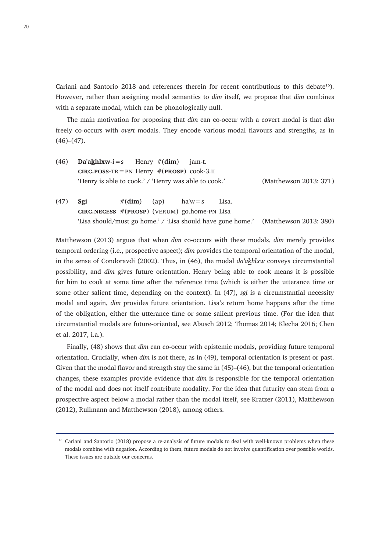Cariani and Santorio 2018 and references therein for recent contributions to this debate<sup>16</sup>). However, rather than assigning modal semantics to *dim* itself, we propose that *dim* combines with a separate modal, which can be phonologically null.

The main motivation for proposing that *dim* can co-occur with a covert modal is that *dim*  freely co-occurs with *overt* modals. They encode various modal flavours and strengths, as in  $(46)–(47)$ .

- (46) **Da'aḵhlxw**-i=s Henry #(**dim**) jam-t. **cIRC.POSS-TR** = PN Henry  $#(\text{PROSP})$  cook-3.II 'Henry is able to cook.' / 'Henry was able to cook.' (Matthewson 2013: 371)
- (47) **Sgi**  $\#$ (dim) (ap) ha'w=s Lisa. **circ.necess** #(**prosp**) (verum) go.home-pn Lisa ʻLisa should/must go home.' / 'Lisa should have gone home.' (Matthewson 2013: 380)

Matthewson (2013) argues that when *dim* co-occurs with these modals, *dim* merely provides temporal ordering (i.e., prospective aspect); *dim* provides the temporal orientation of the modal, in the sense of Condoravdi (2002). Thus, in (46), the modal *da'akhlxw* conveys circumstantial possibility, and *dim* gives future orientation. Henry being able to cook means it is possible for him to cook at some time after the reference time (which is either the utterance time or some other salient time, depending on the context). In (47), *sgi* is a circumstantial necessity modal and again, *dim* provides future orientation. Lisa's return home happens after the time of the obligation, either the utterance time or some salient previous time. (For the idea that circumstantial modals are future-oriented, see Abusch 2012; Thomas 2014; Klecha 2016; Chen et al. 2017, i.a.).

Finally, (48) shows that *dim* can co-occur with epistemic modals, providing future temporal orientation. Crucially, when *dim* is not there, as in (49), temporal orientation is present or past. Given that the modal flavor and strength stay the same in (45)–(46), but the temporal orientation changes, these examples provide evidence that *dim* is responsible for the temporal orientation of the modal and does not itself contribute modality. For the idea that futurity can stem from a prospective aspect below a modal rather than the modal itself, see Kratzer (2011), Matthewson (2012), Rullmann and Matthewson (2018), among others.

<sup>&</sup>lt;sup>16</sup> Cariani and Santorio (2018) propose a re-analysis of future modals to deal with well-known problems when these modals combine with negation. According to them, future modals do not involve quantification over possible worlds. These issues are outside our concerns.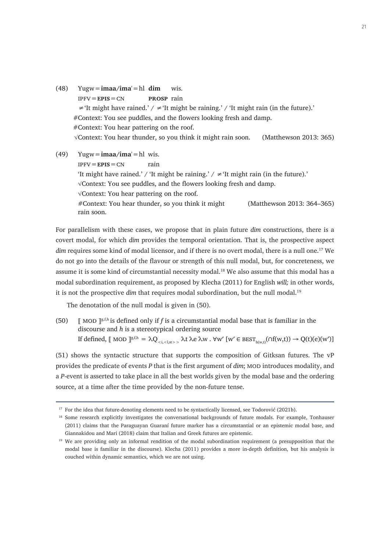- (48) Yugw=**imaa/ima**'=hl **dim** wis. ipfv=**epis**=cn **prosp** rain  $\neq$ 'It might have rained.' /  $\neq$ 'It might be raining.' / 'It might rain (in the future).' *#*Context: You see puddles, and the flowers looking fresh and damp. #Context: You hear pattering on the roof. √Context: You hear thunder, so you think it might rain soon. (Matthewson 2013: 365)
- (49) Yugw=**imaa/ima**'=hl wis.  $IPFV = EPIS = CN$  rain 'It might have rained.' / 'It might be raining.'  $/ \neq$ 'It might rain (in the future).' √Context: You see puddles, and the flowers looking fresh and damp. √Context: You hear pattering on the roof. #Context: You hear thunder, so you think it might rain soon. (Matthewson 2013: 364–365)

For parallelism with these cases, we propose that in plain future *dim* constructions, there is a covert modal, for which *dim* provides the temporal orientation. That is, the prospective aspect *dim* requires some kind of modal licensor, and if there is no overt modal, there is a null one.17 We do not go into the details of the flavour or strength of this null modal, but, for concreteness, we assume it is some kind of circumstantial necessity modal.<sup>18</sup> We also assume that this modal has a modal subordination requirement, as proposed by Klecha (2011) for English *will;* in other words, it is not the prospective *dim* that requires modal subordination, but the null modal.<sup>19</sup>

The denotation of the null modal is given in (50).

(50)  $\parallel$  MOD  $\parallel$ <sup>g,f,h</sup> is defined only if *f* is a circumstantial modal base that is familiar in the discourse and *h* is a stereotypical ordering source If defined,  $\llbracket$  MOD  $\rrbracket^{g,f,h} = \lambda Q_{\leq i, \leq l, s'>}$   $\lambda t \lambda e \lambda w$ .  $\forall w' \llbracket w' \in \text{BEST}_{h(w,t)}(\cap f(w,t)) \rightarrow Q(t)(e)(w')$ 

(51) shows the syntactic structure that supports the composition of Gitksan futures. The vP provides the predicate of events *P* that is the first argument of *dim*; MOD introduces modality, and a *P*-event is asserted to take place in all the best worlds given by the modal base and the ordering source, at a time after the time provided by the non-future tense.

<sup>&</sup>lt;sup>17</sup> For the idea that future-denoting elements need to be syntactically licensed, see Todorović (2021b).

<sup>&</sup>lt;sup>18</sup> Some research explicitly investigates the conversational backgrounds of future modals. For example, Tonhauser (2011) claims that the Paraguayan Guaraní future marker has a circumstantial or an epistemic modal base, and Giannakidou and Mari (2018) claim that Italian and Greek futures are epistemic.

<sup>&</sup>lt;sup>19</sup> We are providing only an informal rendition of the modal subordination requirement (a presupposition that the modal base is familiar in the discourse). Klecha (2011) provides a more in-depth definition, but his analysis is couched within dynamic semantics, which we are not using.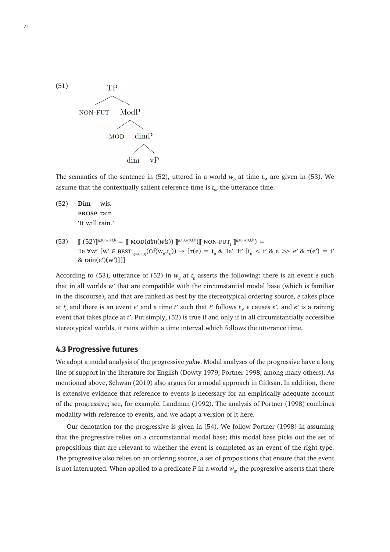

The semantics of the sentence in (52), uttered in a world  $w_o$  at time  $t_o$ , are given in (53). We assume that the contextually salient reference time is  $t_o$ , the utterance time.

- (52) **Dim** wis. **prosp** rain 'It will rain.'
- $(53)$   $[[ (52)]]^{g,t0,w0,f,h} = [[ MOD(dim(wis))] ]^{g,t0,w0,f,h}([NON-FUT_{i}]]^{g,t0,w0,f,h}) =$ ∃e ∀w′ [w′ ∈ best $_{h(w0,0)}(\\Omega(f(w_0,t_0)) \to [\tau(e) = t_0 & \text{Re } \exists e' \exists t' [t_0 < t' \& e \gg e' \& \tau(e') = t'$ &  $rain(e')(w')$ ]]]

According to (53), utterance of (52) in  $w_0$  at  $t_0$  asserts the following: there is an event *e* such that in all worlds *wʹ* that are compatible with the circumstantial modal base (which is familiar in the discourse), and that are ranked as best by the stereotypical ordering source, *e* takes place at  $t_o$  and there is an event  $e'$  and a time  $t'$  such that  $t'$  follows  $t_{o'}$  e causes  $e'$ , and  $e'$  is a raining event that takes place at *tʹ.* Put simply, (52) is true if and only if in all circumstantially accessible stereotypical worlds, it rains within a time interval which follows the utterance time.

#### **4.3 Progressive futures**

We adopt a modal analysis of the progressive *yukw*. Modal analyses of the progressive have a long line of support in the literature for English (Dowty 1979; Portner 1998; among many others). As mentioned above, Schwan (2019) also argues for a modal approach in Gitksan. In addition, there is extensive evidence that reference to events is necessary for an empirically adequate account of the progressive; see, for example, Landman (1992). The analysis of Portner (1998) combines modality with reference to events, and we adapt a version of it here.

Our denotation for the progressive is given in (54). We follow Portner (1998) in assuming that the progressive relies on a circumstantial modal base; this modal base picks out the set of propositions that are relevant to whether the event is completed as an event of the right type. The progressive also relies on an ordering source, a set of propositions that ensure that the event is not interrupted. When applied to a predicate  $P$  in a world  $w_{o^{\prime}}$  the progressive asserts that there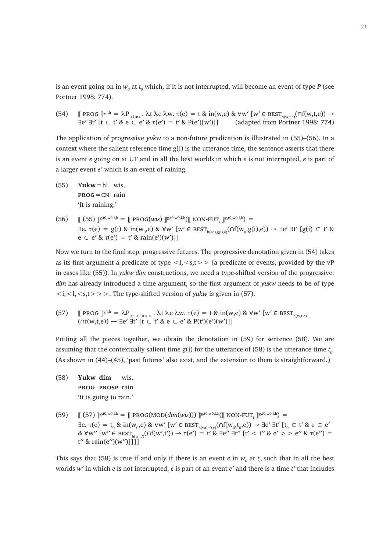is an event going on in  $w_o$  at  $t_o$  which, if it is not interrupted, will become an event of type  $P$  (see Portner 1998: 774).

(54)  $\mathbb{I}$  prog  $\mathbb{I}^{g,f,h} = \lambda P_{\leq l,s,t>}$ .  $\lambda t \lambda e \lambda w$ .  $\tau(e) = t \& in(w,e) \& \forall w' \in \text{BEST}_{h(w,t,e)}(\cap f(w,t,e)) \rightarrow$ ∃eʹ ∃tʹ [t ⊂ tʹ & e ⊂ eʹ & τ(eʹ) = tʹ & P(eʹ)(wʹ)]] (adapted from Portner 1998: 774)

The application of progressive *yukw* to a non-future predication is illustrated in (55)–(56). In a context where the salient reference time  $g(i)$  is the utterance time, the sentence asserts that there is an event *e* going on at UT and in all the best worlds in which *e* is not interrupted, *e* is part of a larger event *e'* which is an event of raining.

- (55) **Yukw**=hl wis. **prog**=cn rain 'It is raining.'
- $(56)$   $[[ (55) ]^{\text{g},t0,w0,f,h} = [[ \text{PROG}(wis) ]^{\text{g},t0,w0,f,h} ([[ \text{ NON-FUT}_i ]^{\text{g},t0,w0,f,h}) =$ ∃e. τ(e) = g(i) & in(w<sub>o</sub>,e) & ∀w′ [w′ ∈ best<sub>h(w0,g(i),e)</sub>(∩f(w<sub>o</sub>,g(i),e)) → ∃e′ ∃t′ [g(i) ⊂ t′ & e  $\subset$  e' &  $\tau(e') = t'$  & rain $(e')(w')$ ]]

Now we turn to the final step: progressive futures. The progressive denotation given in (54) takes as its first argument a predicate of type  $\langle 1, \langle s,t \rangle$  (a predicate of events, provided by the vP in cases like (55)). In *yukw dim* constructions, we need a type-shifted version of the progressive: *dim* has already introduced a time argument, so the first argument of *yukw* needs to be of type  $\langle i, \langle s, t \rangle > \rangle$ . The type-shifted version of *yukw* is given in (57).

(57)  $\Box$  prog  $\Box$ <sup>g,f,h</sup> =  $\lambda P_{\langle i, \langle s \rangle}$ ,  $\lambda t \lambda e \lambda w$ .  $\tau(e) = t \& \text{ in}(w,e) \& \forall w' \lbrack w' \in \text{BEST}_{h(w,t,e)}$  $(\bigcap f(w,t,e)) \rightarrow \exists e' \exists t' \ [t \subset t' \& e \subset e' \& P(t')(e')(w')]$ 

Putting all the pieces together, we obtain the denotation in (59) for sentence (58). We are assuming that the contextually salient time  $g(i)$  for the utterance of (58) is the utterance time  $t_o$ . (As shown in (44)–(45), 'past futures' also exist, and the extension to them is straightforward.)

- (58) **Yukw dim** wis. **prog prosp** rain 'It is going to rain.'
- $(59)$   $[[ (57) ]^{\text{g},t0,w0,f,h} = [[ \text{PROG}(\text{MOD}(dim(wis))) ]^{\text{g},t0,w0,f,h}([ \text{NON-FUT}_i ]^{\text{g},t0,w0,f,h}) =$ ∃e. τ(e) = t<sub>0</sub> & in(w<sub>0</sub>,e) & ∀w′ [w′ ∈ best<sub>h(w0,t0,e)</sub>(∩f(w<sub>0</sub>,t<sub>0</sub>,e)) → ∃e′ ∃t′ [t<sub>0</sub> ⊂ t′ & e ⊂ e′  $\&$   $\forall$ w'' [w''  $\in$  BEST<sub>h(w't'</sub>)( $\cap$ f(w',t'))  $\rightarrow$   $\tau$ (e') = t'  $\&$   $\exists$ e''  $\exists$ t'' [t' < t''  $\&$  e' >  $>$  e''  $\&$   $\tau$ (e'') =  $t''$  & rain(e'')(w'')]]]]

This says that (58) is true if and only if there is an event  $e$  in  $w_o$  at  $t_o$  such that in all the best worlds *wʹ* in which *e* is not interrupted, *e* is part of an event *eʹ* and there is a time *tʹ* that includes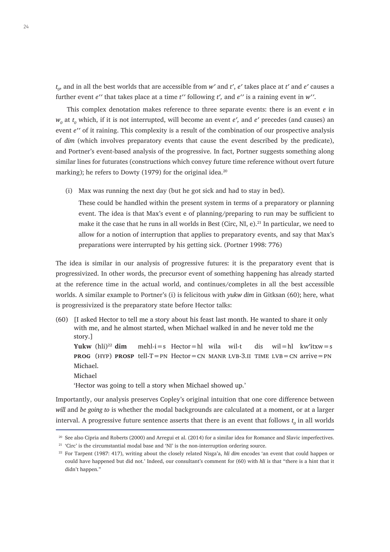*t 0* , and in all the best worlds that are accessible from *wʹ* and *tʹ*, *eʹ* takes place at *tʹ* and *eʹ* causes a further event *eʹʹ* that takes place at a time *tʹʹ* following *tʹ,* and *eʹʹ* is a raining event in *wʹʹ*.

This complex denotation makes reference to three separate events: there is an event *e* in  $w_o$  at  $t_o$  which, if it is not interrupted, will become an event  $e'$ , and  $e'$  precedes (and causes) an event *eʹʹ* of it raining. This complexity is a result of the combination of our prospective analysis of *dim* (which involves preparatory events that cause the event described by the predicate), and Portner's event-based analysis of the progressive. In fact, Portner suggests something along similar lines for futurates (constructions which convey future time reference without overt future marking); he refers to Dowty (1979) for the original idea. $^{20}$ 

(i) Max was running the next day (but he got sick and had to stay in bed).

These could be handled within the present system in terms of a preparatory or planning event. The idea is that Max's event e of planning/preparing to run may be sufficient to make it the case that he runs in all worlds in Best (Circ, NI, e).<sup>21</sup> In particular, we need to allow for a notion of interruption that applies to preparatory events, and say that Max's preparations were interrupted by his getting sick. (Portner 1998: 776)

The idea is similar in our analysis of progressive futures: it is the preparatory event that is progressivized. In other words, the precursor event of something happening has already started at the reference time in the actual world, and continues/completes in all the best accessible worlds. A similar example to Portner's (i) is felicitous with *yukw dim* in Gitksan (60); here, what is progressivized is the preparatory state before Hector talks:

(60) [I asked Hector to tell me a story about his feast last month. He wanted to share it only with me, and he almost started, when Michael walked in and he never told me the story.]

**Yukw** (hli)<sup>22</sup> **dim** mehl-i=s Hector=hl wila wil-t dis wil=hl kw′itxw=s **PROG** (HYP) **PROSP** tell-T=pn Hector=CN MANR LVB-3.II TIME LVB=CN arrive=PN Michael. Michael

'Hector was going to tell a story when Michael showed up.'

Importantly, our analysis preserves Copley's original intuition that one core difference between *will* and *be going to* is whether the modal backgrounds are calculated at a moment, or at a larger interval. A progressive future sentence asserts that there is an event that follows  $t_o$  in all worlds

<sup>&</sup>lt;sup>20</sup> See also Cipria and Roberts (2000) and Arregui et al. (2014) for a similar idea for Romance and Slavic imperfectives.

<sup>&</sup>lt;sup>21</sup> 'Circ' is the circumstantial modal base and 'NI' is the non-interruption ordering source.

<sup>22</sup> For Tarpent (1987: 417), writing about the closely related Nisga'a, *hli dim* encodes 'an event that could happen or could have happened but did not.' Indeed, our consultant's comment for (60) with *hli* is that "there is a hint that it didn't happen."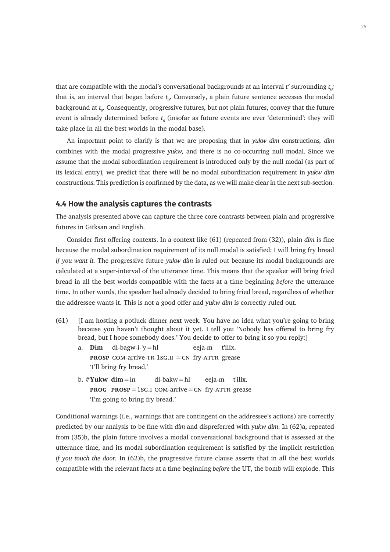that are compatible with the modal's conversational backgrounds at an interval  $t'$  surrounding  $t_{o'}$ that is, an interval that began before  $t_o$ . Conversely, a plain future sentence accesses the modal background at  $t_o$ . Consequently, progressive futures, but not plain futures, convey that the future event is already determined before  $t<sub>o</sub>$  (insofar as future events are ever 'determined': they will take place in all the best worlds in the modal base).

An important point to clarify is that we are proposing that in *yukw dim* constructions*, dim*  combines with the modal progressive *yukw,* and there is no co-occurring null modal. Since we assume that the modal subordination requirement is introduced only by the null modal (as part of its lexical entry)*,* we predict that there will be no modal subordination requirement in *yukw dim*  constructions. This prediction is confirmed by the data, as we will make clear in the next sub-section.

#### **4.4 How the analysis captures the contrasts**

The analysis presented above can capture the three core contrasts between plain and progressive futures in Gitksan and English.

Consider first offering contexts. In a context like (61) (repeated from (32)), plain *dim* is fine because the modal subordination requirement of its null modal is satisfied: I will bring fry bread *if you want it.* The progressive future *yukw dim* is ruled out because its modal backgrounds are calculated at a super-interval of the utterance time. This means that the speaker will bring fried bread in all the best worlds compatible with the facts at a time beginning *before* the utterance time. In other words, the speaker had already decided to bring fried bread, regardless of whether the addressee wants it. This is not a good offer and *yukw dim* is correctly ruled out.

- (61) [I am hosting a potluck dinner next week. You have no idea what you're going to bring because you haven't thought about it yet. I tell you 'Nobody has offered to bring fry bread, but I hope somebody does.' You decide to offer to bring it so you reply:]
	- a. **Dim** di-bagw-i-'y=hl eeja-m t'ilix. **PROSP** COM-arrive-TR-1SG.II  $=$  CN fry-ATTR grease 'I'll bring fry bread.'
	- b. #**Yukw dim**=in di-bakw=hl eeja-m t'ilix. **PROG PROSP**=1sG.I COM-arrive=CN fry-ATTR grease 'I'm going to bring fry bread.'

Conditional warnings (i.e., warnings that are contingent on the addressee's actions) are correctly predicted by our analysis to be fine with *dim* and dispreferred with *yukw dim*. In (62)a, repeated from (35)b, the plain future involves a modal conversational background that is assessed at the utterance time, and its modal subordination requirement is satisfied by the implicit restriction *if you touch the door.* In (62)b, the progressive future clause asserts that in all the best worlds compatible with the relevant facts at a time beginning *before* the UT, the bomb will explode. This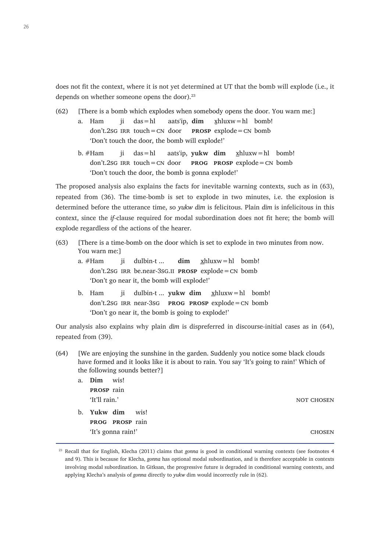does not fit the context, where it is not yet determined at UT that the bomb will explode (i.e., it depends on whether someone opens the door).<sup>23</sup>

- (62) [There is a bomb which explodes when somebody opens the door. You warn me:]
	- a. Ham ji das=hl aats'ip, **dim** x̱hluxw=hl bomb! don't.2sg irr touch=cn door **prosp** explode=cn bomb 'Don't touch the door, the bomb will explode!'
		- b. #Ham ji das=hl aats'ip, **yukw dim** xhluxw=hl bomb! don't.2sg irr touch=cn door **prog prosp** explode=cn bomb 'Don't touch the door, the bomb is gonna explode!'

The proposed analysis also explains the facts for inevitable warning contexts, such as in (63), repeated from (36). The time-bomb is set to explode in two minutes, i.e. the explosion is determined before the utterance time, so *yukw dim* is felicitous. Plain *dim* is infelicitous in this context, since the *if-*clause required for modal subordination does not fit here; the bomb will explode regardless of the actions of the hearer.

- (63) [There is a time-bomb on the door which is set to explode in two minutes from now. You warn me:]
	- a. #Ham ii dulbin-t ... **dim** xhluxw=hl bomb! don't.2sg irr be.near-3sg.ii **prosp** explode=cn bomb 'Don't go near it, the bomb will explode!'
	- b. Ham ji dulbin-t ... **yukw dim** xhluxw=hl bomb! don't.2sg irr near-3sg **prog prosp** explode=cn bomb 'Don't go near it, the bomb is going to explode!'

Our analysis also explains why plain *dim* is dispreferred in discourse-initial cases as in (64), repeated from (39).

(64) [We are enjoying the sunshine in the garden. Suddenly you notice some black clouds have formed and it looks like it is about to rain. You say 'It's going to rain!' Which of the following sounds better?]

| a. | <b>Dim</b> wis!   |                        |               |
|----|-------------------|------------------------|---------------|
|    | <b>PROSP</b> rain |                        |               |
|    | 'It'll rain.'     |                        | NOT CHOSEN    |
|    |                   | b. Yukw dim wis!       |               |
|    |                   | <b>PROG PROSP</b> rain |               |
|    |                   | 'It's gonna rain!'     | <b>CHOSEN</b> |

<sup>23</sup> Recall that for English, Klecha (2011) claims that *gonna* is good in conditional warning contexts (see footnotes 4 and 9). This is because for Klecha, *gonna* has optional modal subordination, and is therefore acceptable in contexts involving modal subordination. In Gitksan, the progressive future is degraded in conditional warning contexts, and applying Klecha's analysis of *gonna* directly to *yukw* dim would incorrectly rule in (62).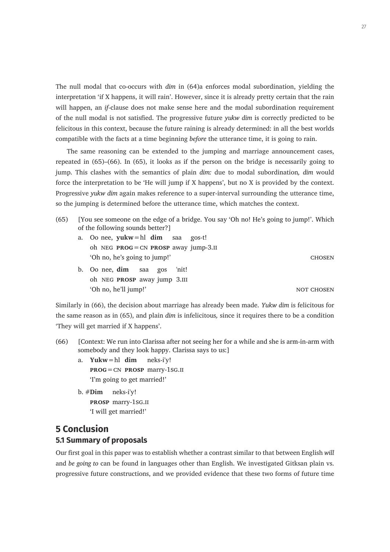The null modal that co-occurs with *dim* in (64)a enforces modal subordination, yielding the interpretation 'if X happens, it will rain'. However, since it is already pretty certain that the rain will happen, an *if-*clause does not make sense here and the modal subordination requirement of the null modal is not satisfied. The progressive future *yukw dim* is correctly predicted to be felicitous in this context, because the future raining is already determined: in all the best worlds compatible with the facts at a time beginning *before* the utterance time, it is going to rain.

The same reasoning can be extended to the jumping and marriage announcement cases, repeated in (65)–(66). In (65), it looks as if the person on the bridge is necessarily going to jump. This clashes with the semantics of plain *dim:* due to modal subordination*, dim* would force the interpretation to be 'He will jump if X happens', but no X is provided by the context. Progressive *yukw dim* again makes reference to a super-interval surrounding the utterance time, so the jumping is determined before the utterance time, which matches the context.

- (65) [You see someone on the edge of a bridge. You say 'Oh no! He's going to jump!'. Which of the following sounds better?]
	- a. Oo nee, **yukw**=hl **dim** saa gos-t! oh neg **prog**=cn **prosp** away jump-3.ii 'Oh no, he's going to jump!' chosen

b. Oo nee, **dim** saa gos 'nit! oh neg **prosp** away jump 3.iii 'Oh no, he'll jump!' not chosen and the set of the set of the set of the set of the set of the set of the set of the set of the set of the set of the set of the set of the set of the set of the set of the set of the set of

Similarly in (66), the decision about marriage has already been made. *Yukw dim* is felicitous for the same reason as in (65), and plain *dim* is infelicitous*,* since it requires there to be a condition 'They will get married if X happens'.

- (66) [Context: We run into Clarissa after not seeing her for a while and she is arm-in-arm with somebody and they look happy. Clarissa says to us:]
	- a. **Yukw**=hl **dim** neks-i'y! **prog**=cn **prosp** marry-1sg.ii 'I'm going to get married!'
	- b. #**Dim** neks-i'y! **prosp** marry-1sg.ii 'I will get married!'

# **5 Conclusion 5.1 Summary of proposals**

Our first goal in this paper was to establish whether a contrast similar to that between English *will*  and *be going to* can be found in languages other than English. We investigated Gitksan plain vs. progressive future constructions, and we provided evidence that these two forms of future time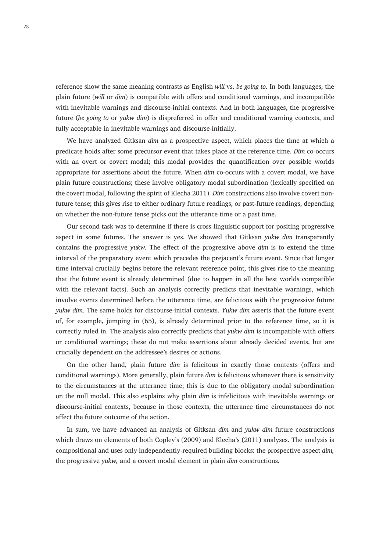reference show the same meaning contrasts as English *will* vs. *be going to.* In both languages, the plain future (*will* or *dim*) is compatible with offers and conditional warnings, and incompatible with inevitable warnings and discourse-initial contexts. And in both languages, the progressive future (*be going to* or *yukw dim*) is dispreferred in offer and conditional warning contexts, and fully acceptable in inevitable warnings and discourse-initially.

We have analyzed Gitksan *dim* as a prospective aspect, which places the time at which a predicate holds after some precursor event that takes place at the reference time. *Dim* co-occurs with an overt or covert modal; this modal provides the quantification over possible worlds appropriate for assertions about the future. When *dim* co-occurs with a covert modal, we have plain future constructions; these involve obligatory modal subordination (lexically specified on the covert modal, following the spirit of Klecha 2011). *Dim* constructions also involve covert nonfuture tense; this gives rise to either ordinary future readings, or past-future readings, depending on whether the non-future tense picks out the utterance time or a past time.

Our second task was to determine if there is cross-linguistic support for positing progressive aspect in some futures. The answer is yes. We showed that Gitksan *yukw dim* transparently contains the progressive *yukw.* The effect of the progressive above *dim* is to extend the time interval of the preparatory event which precedes the prejacent's future event. Since that longer time interval crucially begins before the relevant reference point, this gives rise to the meaning that the future event is already determined (due to happen in all the best worlds compatible with the relevant facts). Such an analysis correctly predicts that inevitable warnings, which involve events determined before the utterance time, are felicitous with the progressive future *yukw dim.* The same holds for discourse-initial contexts. *Yukw dim* asserts that the future event of, for example, jumping in (65), is already determined prior to the reference time, so it is correctly ruled in. The analysis also correctly predicts that *yukw dim* is incompatible with offers or conditional warnings; these do not make assertions about already decided events, but are crucially dependent on the addressee's desires or actions.

On the other hand, plain future *dim* is felicitous in exactly those contexts (offers and conditional warnings). More generally, plain future *dim* is felicitous whenever there is sensitivity to the circumstances at the utterance time; this is due to the obligatory modal subordination on the null modal. This also explains why plain *dim* is infelicitous with inevitable warnings or discourse-initial contexts, because in those contexts, the utterance time circumstances do not affect the future outcome of the action.

In sum, we have advanced an analysis of Gitksan *dim* and *yukw dim* future constructions which draws on elements of both Copley's (2009) and Klecha's (2011) analyses. The analysis is compositional and uses only independently-required building blocks: the prospective aspect *dim,*  the progressive *yukw,* and a covert modal element in plain *dim* constructions.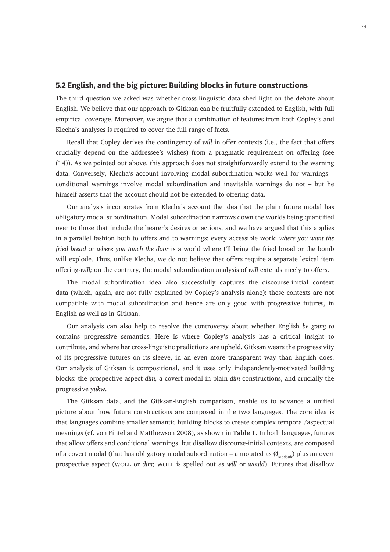#### **5.2 English, and the big picture: Building blocks in future constructions**

The third question we asked was whether cross-linguistic data shed light on the debate about English. We believe that our approach to Gitksan can be fruitfully extended to English, with full empirical coverage. Moreover, we argue that a combination of features from both Copley's and Klecha's analyses is required to cover the full range of facts.

Recall that Copley derives the contingency of *will* in offer contexts (i.e., the fact that offers crucially depend on the addressee's wishes) from a pragmatic requirement on offering (see (14)). As we pointed out above, this approach does not straightforwardly extend to the warning data. Conversely, Klecha's account involving modal subordination works well for warnings – conditional warnings involve modal subordination and inevitable warnings do not – but he himself asserts that the account should not be extended to offering data.

Our analysis incorporates from Klecha's account the idea that the plain future modal has obligatory modal subordination. Modal subordination narrows down the worlds being quantified over to those that include the hearer's desires or actions, and we have argued that this applies in a parallel fashion both to offers and to warnings: every accessible world *where you want the fried bread* or *where you touch the door* is a world where I'll bring the fried bread or the bomb will explode. Thus, unlike Klecha, we do not believe that offers require a separate lexical item offering-*will;* on the contrary, the modal subordination analysis of *will* extends nicely to offers.

The modal subordination idea also successfully captures the discourse-initial context data (which, again, are not fully explained by Copley's analysis alone): these contexts are not compatible with modal subordination and hence are only good with progressive futures, in English as well as in Gitksan.

Our analysis can also help to resolve the controversy about whether English *be going to* contains progressive semantics. Here is where Copley's analysis has a critical insight to contribute, and where her cross-linguistic predictions are upheld. Gitksan wears the progressivity of its progressive futures on its sleeve, in an even more transparent way than English does. Our analysis of Gitksan is compositional, and it uses only independently-motivated building blocks: the prospective aspect *dim,* a covert modal in plain *dim* constructions, and crucially the progressive *yukw*.

The Gitksan data, and the Gitksan-English comparison, enable us to advance a unified picture about how future constructions are composed in the two languages. The core idea is that languages combine smaller semantic building blocks to create complex temporal/aspectual meanings (cf. von Fintel and Matthewson 2008), as shown in **Table 1**. In both languages, futures that allow offers and conditional warnings, but disallow discourse-initial contexts, are composed of a covert modal (that has obligatory modal subordination – annotated as  $\mathcal{O}_{\text{ModSub}}$ ) plus an overt prospective aspect (woll or *dim;* woll is spelled out as *will* or *would*). Futures that disallow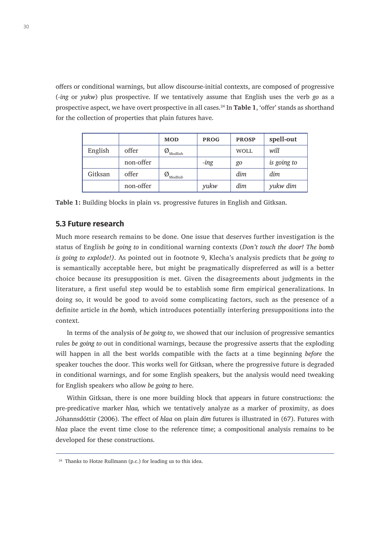offers or conditional warnings, but allow discourse-initial contexts, are composed of progressive (*-ing* or *yukw*) plus prospective. If we tentatively assume that English uses the verb *go* as a prospective aspect, we have overt prospective in all cases.24 In **Table 1**, 'offer' stands as shorthand for the collection of properties that plain futures have.

|         |           | <b>MOD</b>             | <b>PROG</b> | <b>PROSP</b> | spell-out   |
|---------|-----------|------------------------|-------------|--------------|-------------|
| English | offer     | Ø<br>ModSub            |             | <b>WOLL</b>  | will        |
|         | non-offer |                        | -ing        | go           | is going to |
| Gitksan | offer     | $\phi_{\text{ModSub}}$ |             | dim          | dim         |
|         | non-offer |                        | yukw        | dim          | yukw dim    |

**Table 1:** Building blocks in plain vs. progressive futures in English and Gitksan.

#### **5.3 Future research**

Much more research remains to be done. One issue that deserves further investigation is the status of English *be going to* in conditional warning contexts (*Don't touch the door! The bomb is going to explode!)*. As pointed out in footnote 9, Klecha's analysis predicts that *be going to*  is semantically acceptable here, but might be pragmatically dispreferred as *will* is a better choice because its presupposition is met. Given the disagreements about judgments in the literature, a first useful step would be to establish some firm empirical generalizations. In doing so, it would be good to avoid some complicating factors, such as the presence of a definite article in *the bomb,* which introduces potentially interfering presuppositions into the context.

In terms of the analysis of *be going to*, we showed that our inclusion of progressive semantics rules *be going to* out in conditional warnings, because the progressive asserts that the exploding will happen in all the best worlds compatible with the facts at a time beginning *before* the speaker touches the door. This works well for Gitksan, where the progressive future is degraded in conditional warnings, and for some English speakers, but the analysis would need tweaking for English speakers who allow *be going to* here.

Within Gitksan, there is one more building block that appears in future constructions: the pre-predicative marker *hlaa,* which we tentatively analyze as a marker of proximity, as does Jóhannsdóttir (2006). The effect of *hlaa* on plain *dim* futures is illustrated in (67). Futures with *hlaa* place the event time close to the reference time; a compositional analysis remains to be developed for these constructions.

<sup>&</sup>lt;sup>24</sup> Thanks to Hotze Rullmann (p.c.) for leading us to this idea.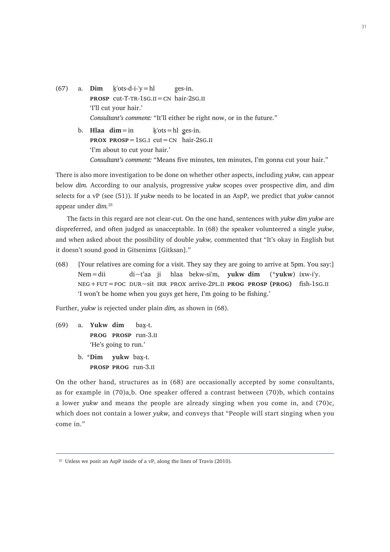(67) a. **Dim**  $k'$ ots-d-i-'y=hl es-in. **PROSP** cut-T-TR-1sG.II=CN hair-2sG.II 'I'll cut your hair.' *Consultant's comment:* "It'll either be right now, or in the future." b. **Hlaa**  $\dim = \text{in}$  $k'$ ots = hl ges-in. **prox**  $\text{PROSP} = 1$ **sg.i cut = CN hair-2sg.ii** 

'I'm about to cut your hair.' *Consultant's comment:* "Means five minutes, ten minutes, I'm gonna cut your hair."

There is also more investigation to be done on whether other aspects, including *yukw,* can appear below *dim.* According to our analysis, progressive *yukw* scopes over prospective *dim*, and *dim*  selects for a vP (see (51)). If *yukw* needs to be located in an AspP, we predict that *yukw* cannot appear under *dim.*<sup>25</sup>

The facts in this regard are not clear-cut. On the one hand, sentences with *yukw dim yukw* are dispreferred, and often judged as unacceptable. In (68) the speaker volunteered a single *yukw*, and when asked about the possibility of double *yukw,* commented that "It's okay in English but it doesn't sound good in Gitsenimx [Gitksan]."

(68) [Your relatives are coming for a visit. They say they are going to arrive at 5pm. You say:] Nem=dii di~t'aa ji hlaa bekw-si'm, **yukw dim** (\***yukw**) ixw-i'y. neg+fut=foc dur~sit irr prox arrive-2pl.ii **prog prosp (prog)** fish-1sg.ii 'I won't be home when you guys get here, I'm going to be fishing.'

Further, *yukw* is rejected under plain *dim,* as shown in (68).

- (69) a. **Yukw dim** bax̱-t. **prog prosp** run-3.ii 'He's going to run.'
	- b. \***Dim yukw** bax̱-t. **prosp prog** run-3.ii

On the other hand, structures as in (68) are occasionally accepted by some consultants, as for example in (70)a,b. One speaker offered a contrast between (70)b, which contains a lower *yukw* and means the people are already singing when you come in, and (70)c, which does not contain a lower *yukw,* and conveys that "People will start singing when you come in."

<sup>&</sup>lt;sup>25</sup> Unless we posit an AspP inside of a vP, along the lines of Travis (2010).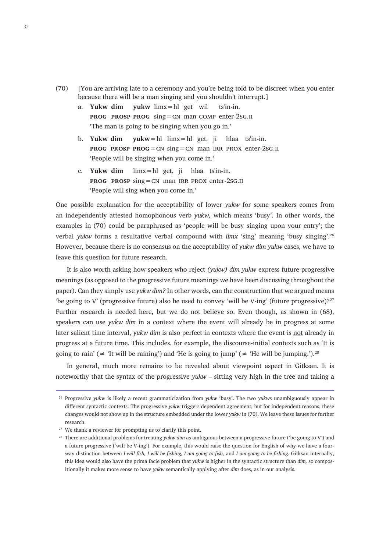- (70) [You are arriving late to a ceremony and you're being told to be discreet when you enter because there will be a man singing and you shouldn't interrupt.]
	- a. **Yukw dim yukw** limx=hl get wil ts'in-in. **prog prosp prog** sing=cn man comp enter-2sg.ii 'The man is going to be singing when you go in.'
	- b. **Yukw dim yukw**=hl limx=hl get, ji hlaa ts'in-in. **prog prosp prog**=cn sing=cn man irr prox enter-2sg.ii 'People will be singing when you come in.'
	- c. **Yukw dim** limx=hl get, ji hlaa ts'in-in. **prog prosp** sing=cn man irr prox enter-2sg.ii 'People will sing when you come in.'

One possible explanation for the acceptability of lower *yukw* for some speakers comes from an independently attested homophonous verb *yukw,* which means 'busy'. In other words, the examples in (70) could be paraphrased as 'people will be busy singing upon your entry'; the verbal *yukw* forms a resultative verbal compound with *limx* 'sing' meaning 'busy singing'.26 However, because there is no consensus on the acceptability of *yukw dim yukw* cases, we have to leave this question for future research.

It is also worth asking how speakers who reject *(yukw) dim yukw* express future progressive meanings (as opposed to the progressive future meanings we have been discussing throughout the paper). Can they simply use *yukw dim?* In other words, can the construction that we argued means 'be going to V' (progressive future) also be used to convey 'will be V-ing' (future progressive)?<sup>27</sup> Further research is needed here, but we do not believe so. Even though, as shown in (68), speakers can use *yukw dim* in a context where the event will already be in progress at some later salient time interval, *yukw dim* is also perfect in contexts where the event is not already in progress at a future time. This includes, for example, the discourse-initial contexts such as 'It is going to rain' ( $\neq$  'It will be raining') and 'He is going to jump' ( $\neq$  'He will be jumping.').<sup>28</sup>

In general, much more remains to be revealed about viewpoint aspect in Gitksan. It is noteworthy that the syntax of the progressive *yukw* – sitting very high in the tree and taking a

<sup>26</sup> Progressive *yukw* is likely a recent grammaticization from *yukw* 'busy'. The two *yukw*s unambiguously appear in different syntactic contexts. The progressive *yukw* triggers dependent agreement, but for independent reasons, these changes would not show up in the structure embedded under the lower *yukw* in (70). We leave these issues for further research.

<sup>&</sup>lt;sup>27</sup> We thank a reviewer for prompting us to clarify this point.

<sup>28</sup> There are additional problems for treating *yukw dim* as ambiguous between a progressive future ('be going to V') and a future progressive ('will be V-ing'). For example, this would raise the question for English of why we have a fourway distinction between *I will fish, I will be fishing, I am going to fish,* and *I am going to be fishing.* Gitksan-internally, this idea would also have the prima facie problem that *yukw* is higher in the syntactic structure than *dim,* so compositionally it makes more sense to have *yukw* semantically applying after *dim* does, as in our analysis.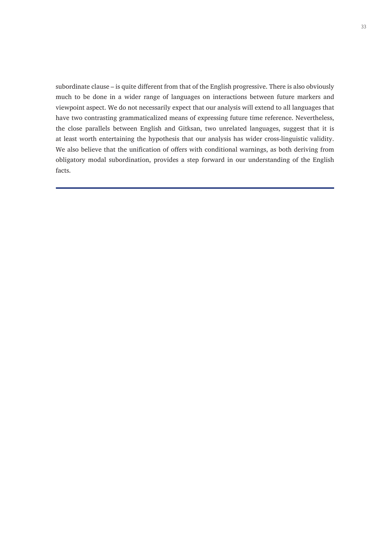subordinate clause – is quite different from that of the English progressive. There is also obviously much to be done in a wider range of languages on interactions between future markers and viewpoint aspect. We do not necessarily expect that our analysis will extend to all languages that have two contrasting grammaticalized means of expressing future time reference. Nevertheless, the close parallels between English and Gitksan, two unrelated languages, suggest that it is at least worth entertaining the hypothesis that our analysis has wider cross-linguistic validity. We also believe that the unification of offers with conditional warnings, as both deriving from obligatory modal subordination, provides a step forward in our understanding of the English facts.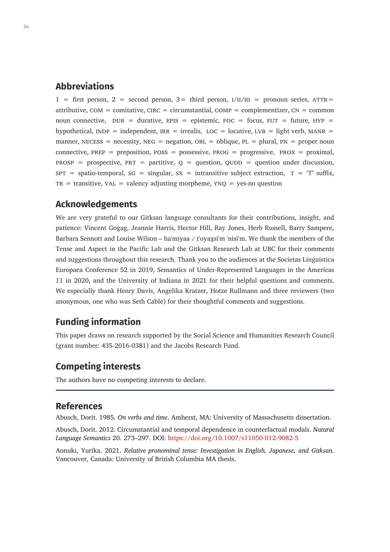# **Abbreviations**

 $1 =$  first person,  $2 =$  second person,  $3 =$  third person,  $1/11/111 =$  pronoun series,  $ATTR =$ attributive,  $COM =$  comitative,  $CIRC =$  circumstantial,  $COMP =$  complementizer,  $CN =$  common noun connective,  $DUR =$  durative,  $EPIS =$  epistemic,  $FOC =$  focus,  $FUT =$  future,  $HYP =$ hypothetical,  $INDP =$  independent,  $IRR =$  irrealis,  $LOC =$  locative,  $LVB =$  light verb,  $MANR =$ manner, NECESS = necessity, NEG = negation, OBL = oblique, PL = plural, PN = proper noun connective,  $PREF = preposition$ ,  $Poss = poss$  = possessive,  $PROG = progressive$ ,  $PROX = proximal$ ,  $PROSP$  = prospective,  $PRT$  = partitive,  $Q$  = question,  $QUDD$  = question under discussion,  $SPT =$  spatio-temporal,  $SG =$  singular,  $SX =$  intransitive subject extraction,  $T = 'T'$  suffix,  $TR = transitive$ ,  $VAL = value$  valency adjusting morpheme,  $YNO = yes$ -no question

# **Acknowledgements**

We are very grateful to our Gitksan language consultants for their contributions, insight, and patience: Vincent Gogag, Jeannie Harris, Hector Hill, Ray Jones, Herb Russell, Barry Sampere, Barbara Sennott and Louise Wilson – ha'miyaa / t'oyax̱si'm 'nisi'm. We thank the members of the Tense and Aspect in the Pacific Lab and the Gitksan Research Lab at UBC for their comments and suggestions throughout this research. Thank you to the audiences at the Societas Linguistica Europaea Conference 52 in 2019, Semantics of Under-Represented Languages in the Americas 11 in 2020, and the University of Indiana in 2021 for their helpful questions and comments. We especially thank Henry Davis, Angelika Kratzer, Hotze Rullmann and three reviewers (two anonymous, one who was Seth Cable) for their thoughtful comments and suggestions.

# **Funding information**

This paper draws on research supported by the Social Science and Humanities Research Council (grant number: 435-2016-0381) and the Jacobs Research Fund.

# **Competing interests**

The authors have no competing interests to declare.

# **References**

Abusch, Dorit. 1985. *On verbs and time*. Amherst, MA: University of Massachusetts dissertation.

Abusch, Dorit. 2012. Circumstantial and temporal dependence in counterfactual modals. *Natural Language Semantics* 20. 273–297. DOI: <https://doi.org/10.1007/s11050-012-9082-5>

Aonuki, Yurika. 2021. *Relative pronominal tense: Investigation in English, Japanese, and Gitksan*. Vancouver, Canada: University of British Columbia MA thesis.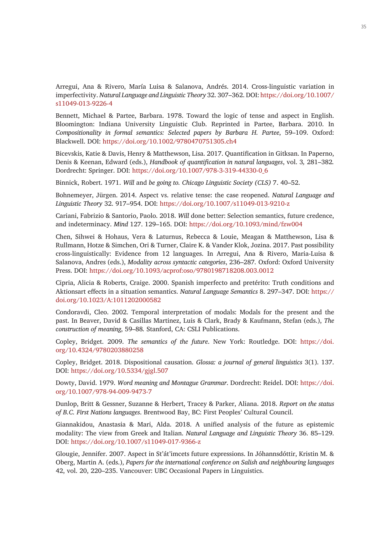Arregui, Ana & Rivero, María Luisa & Salanova, Andrés. 2014. Cross-linguistic variation in imperfectivity. *Natural Language and Linguistic Theory* 32. 307–362. DOI: [https://doi.org/10.1007/](https://doi.org/10.1007/s11049-013-9226-4) [s11049-013-9226-4](https://doi.org/10.1007/s11049-013-9226-4)

Bennett, Michael & Partee, Barbara. 1978. Toward the logic of tense and aspect in English. Bloomington: Indiana University Linguistic Club. Reprinted in Partee, Barbara. 2010. In *Compositionality in formal semantics: Selected papers by Barbara H. Partee*, 59–109. Oxford: Blackwell. DOI: <https://doi.org/10.1002/9780470751305.ch4>

Bicevskis, Katie & Davis, Henry & Matthewson, Lisa. 2017. Quantification in Gitksan. In Paperno, Denis & Keenan, Edward (eds.), *Handbook of quantification in natural languages*, vol. 3*,* 281–382*.*  Dordrecht: Springer. DOI: [https://doi.org/10.1007/978-3-319-44330-0\\_6](https://doi.org/10.1007/978-3-319-44330-0_6)

Binnick, Robert. 1971. *Will* and *be going to. Chicago Linguistic Society (CLS)* 7. 40–52.

Bohnemeyer, Jürgen. 2014. Aspect vs. relative tense: the case reopened. *Natural Language and Linguistic Theory* 32. 917–954. DOI:<https://doi.org/10.1007/s11049-013-9210-z>

Cariani, Fabrizio & Santorio, Paolo. 2018. *Will* done better: Selection semantics, future credence, and indeterminacy. *Mind* 127. 129–165. DOI: <https://doi.org/10.1093/mind/fzw004>

Chen, Sihwei & Hohaus, Vera & Laturnus, Rebecca & Louie, Meagan & Matthewson, Lisa & Rullmann, Hotze & Simchen, Ori & Turner, Claire K. & Vander Klok, Jozina. 2017. Past possibility cross-linguistically: Evidence from 12 languages. In Arregui, Ana & Rivero, Maria-Luisa & Salanova, Andres (eds.), *Modality across syntactic categories*, 236–287*.* Oxford: Oxford University Press. DOI: <https://doi.org/10.1093/acprof:oso/9780198718208.003.0012>

Cipria, Alicia & Roberts, Craige. 2000. Spanish imperfecto and pretérito: Truth conditions and Aktionsart effects in a situation semantics. *Natural Language Semantics* 8. 297–347. DOI: [https://](https://doi.org/10.1023/A:1011202000582) [doi.org/10.1023/A:1011202000582](https://doi.org/10.1023/A:1011202000582)

Condoravdi, Cleo. 2002. Temporal interpretation of modals: Modals for the present and the past. In Beaver, David & Casillas Martinez, Luis & Clark, Brady & Kaufmann, Stefan (eds.), *The construction of meaning*, 59–88*.* Stanford, CA: CSLI Publications.

Copley, Bridget. 2009. *The semantics of the future*. New York: Routledge. DOI: [https://doi.](https://doi.org/10.4324/9780203880258) [org/10.4324/9780203880258](https://doi.org/10.4324/9780203880258)

Copley, Bridget. 2018. Dispositional causation. *Glossa: a journal of general linguistics* 3(1). 137. DOI:<https://doi.org/10.5334/gjgl.507>

Dowty, David. 1979. *Word meaning and Montague Grammar*. Dordrecht: Reidel. DOI: [https://doi.](https://doi.org/10.1007/978-94-009-9473-7) [org/10.1007/978-94-009-9473-7](https://doi.org/10.1007/978-94-009-9473-7)

Dunlop, Britt & Gessner, Suzanne & Herbert, Tracey & Parker, Aliana. 2018. *Report on the status of B.C. First Nations languages*. Brentwood Bay, BC: First Peoples' Cultural Council.

Giannakidou, Anastasia & Mari, Alda. 2018. A unified analysis of the future as epistemic modality: The view from Greek and Italian. *Natural Language and Linguistic Theory* 36. 85–129. DOI:<https://doi.org/10.1007/s11049-017-9366-z>

Glougie, Jennifer. 2007. Aspect in St'át'imcets future expressions. In Jóhannsdóttir, Kristin M. & Oberg, Martin A. (eds.), *Papers for the international conference on Salish and neighbouring languages*  42, vol. 20, 220–235. Vancouver: UBC Occasional Papers in Linguistics.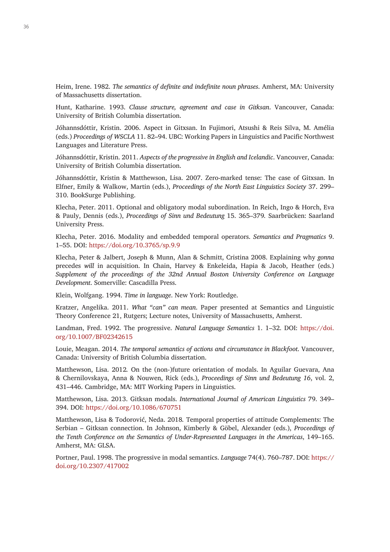Heim, Irene. 1982. *The semantics of definite and indefinite noun phrases*. Amherst, MA: University of Massachusetts dissertation.

Hunt, Katharine. 1993. *Clause structure, agreement and case in Gitksan*. Vancouver, Canada: University of British Columbia dissertation.

Jóhannsdóttir, Kristin. 2006. Aspect in Gitxsan. In Fujimori, Atsushi & Reis Silva, M. Amélia (eds.) *Proceedings of WSCLA* 11. 82–94. UBC: Working Papers in Linguistics and Pacific Northwest Languages and Literature Press.

Jóhannsdóttir, Kristin. 2011. *Aspects of the progressive in English and Icelandic*. Vancouver, Canada: University of British Columbia dissertation.

Jóhannsdóttir, Kristin & Matthewson, Lisa. 2007. Zero-marked tense: The case of Gitxsan. In Elfner, Emily & Walkow, Martin (eds.), *Proceedings of the North East Linguistics Society* 37. 299– 310. BookSurge Publishing.

Klecha, Peter. 2011. Optional and obligatory modal subordination. In Reich, Ingo & Horch, Eva & Pauly, Dennis (eds.), *Proceedings of Sinn und Bedeutung* 15. 365–379*.* Saarbrücken: Saarland University Press.

Klecha, Peter. 2016. Modality and embedded temporal operators. *Semantics and Pragmatics* 9. 1–55. DOI: <https://doi.org/10.3765/sp.9.9>

Klecha, Peter & Jalbert, Joseph & Munn, Alan & Schmitt, Cristina 2008. Explaining why *gonna* precedes *will* in acquisition. In Chain, Harvey & Enkeleida, Hapia & Jacob, Heather (eds.) *Supplement of the proceedings of the 32nd Annual Boston University Conference on Language Development*. Somerville: Cascadilla Press.

Klein, Wolfgang. 1994. *Time in language*. New York: Routledge.

Kratzer, Angelika. 2011. *What "can" can mean*. Paper presented at Semantics and Linguistic Theory Conference 21, Rutgers; Lecture notes, University of Massachusetts, Amherst.

Landman, Fred. 1992. The progressive. *Natural Language Semantics* 1. 1–32. DOI: [https://doi.](https://doi.org/10.1007/BF02342615) [org/10.1007/BF02342615](https://doi.org/10.1007/BF02342615)

Louie, Meagan. 2014. *The temporal semantics of actions and circumstance in Blackfoot*. Vancouver, Canada: University of British Columbia dissertation.

Matthewson, Lisa. 2012*.* On the (non-)future orientation of modals. In Aguilar Guevara, Ana & Chernilovskaya, Anna & Nouwen, Rick (eds.), *Proceedings of Sinn und Bedeutung 16*, vol. 2, 431–446. Cambridge, MA: MIT Working Papers in Linguistics.

Matthewson, Lisa. 2013. Gitksan modals. *International Journal of American Linguistics* 79. 349– 394. DOI: <https://doi.org/10.1086/670751>

Matthewson, Lisa & Todorović, Neda. 2018*.* Temporal properties of attitude Complements: The Serbian – Gitksan connection. In Johnson, Kimberly & Göbel, Alexander (eds.), *Proceedings of the Tenth Conference on the Semantics of Under-Represented Languages in the Americas*, 149–165. Amherst, MA: GLSA.

Portner, Paul. 1998. The progressive in modal semantics. *Language* 74(4). 760–787. DOI: [https://](https://doi.org/10.2307/417002) [doi.org/10.2307/417002](https://doi.org/10.2307/417002)